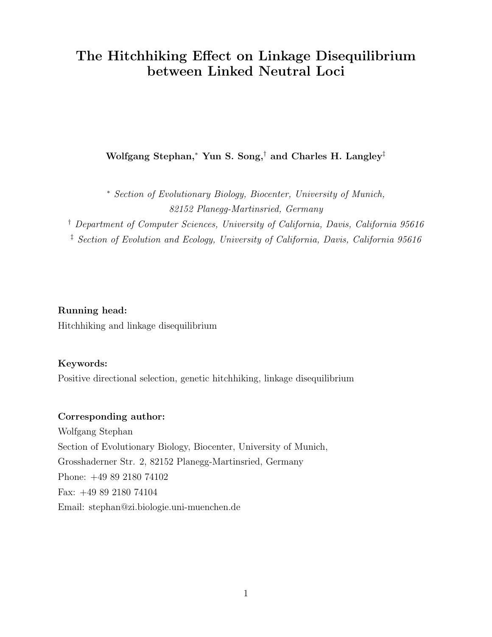# The Hitchhiking Effect on Linkage Disequilibrium between Linked Neutral Loci

Wolfgang Stephan,<sup>∗</sup> Yun S. Song,† and Charles H. Langley‡

<sup>∗</sup> Section of Evolutionary Biology, Biocenter, University of Munich, 82152 Planegg-Martinsried, Germany

† Department of Computer Sciences, University of California, Davis, California 95616 ‡ Section of Evolution and Ecology, University of California, Davis, California 95616

Running head: Hitchhiking and linkage disequilibrium

# Keywords:

Positive directional selection, genetic hitchhiking, linkage disequilibrium

# Corresponding author:

Wolfgang Stephan Section of Evolutionary Biology, Biocenter, University of Munich, Grosshaderner Str. 2, 82152 Planegg-Martinsried, Germany Phone: +49 89 2180 74102 Fax: +49 89 2180 74104 Email: stephan@zi.biologie.uni-muenchen.de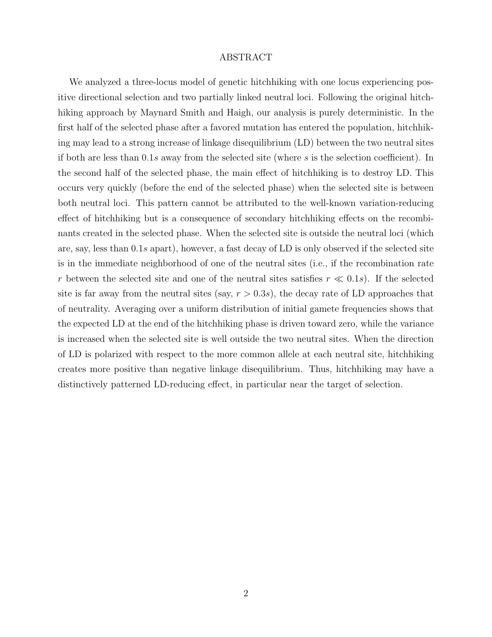# ABSTRACT

We analyzed a three-locus model of genetic hitchhiking with one locus experiencing positive directional selection and two partially linked neutral loci. Following the original hitchhiking approach by Maynard Smith and Haigh, our analysis is purely deterministic. In the first half of the selected phase after a favored mutation has entered the population, hitchhiking may lead to a strong increase of linkage disequilibrium (LD) between the two neutral sites if both are less than 0.1s away from the selected site (where s is the selection coefficient). In the second half of the selected phase, the main effect of hitchhiking is to destroy LD. This occurs very quickly (before the end of the selected phase) when the selected site is between both neutral loci. This pattern cannot be attributed to the well-known variation-reducing effect of hitchhiking but is a consequence of secondary hitchhiking effects on the recombinants created in the selected phase. When the selected site is outside the neutral loci (which are, say, less than 0.1s apart), however, a fast decay of LD is only observed if the selected site is in the immediate neighborhood of one of the neutral sites (i.e., if the recombination rate r between the selected site and one of the neutral sites satisfies  $r \ll 0.1$ s). If the selected site is far away from the neutral sites (say,  $r > 0.3s$ ), the decay rate of LD approaches that of neutrality. Averaging over a uniform distribution of initial gamete frequencies shows that the expected LD at the end of the hitchhiking phase is driven toward zero, while the variance is increased when the selected site is well outside the two neutral sites. When the direction of LD is polarized with respect to the more common allele at each neutral site, hitchhiking creates more positive than negative linkage disequilibrium. Thus, hitchhiking may have a distinctively patterned LD-reducing effect, in particular near the target of selection.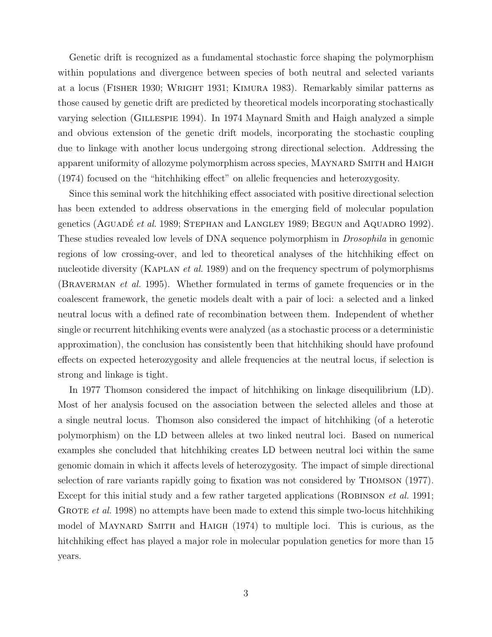Genetic drift is recognized as a fundamental stochastic force shaping the polymorphism within populations and divergence between species of both neutral and selected variants at a locus (Fisher 1930; Wright 1931; Kimura 1983). Remarkably similar patterns as those caused by genetic drift are predicted by theoretical models incorporating stochastically varying selection (Gillespie 1994). In 1974 Maynard Smith and Haigh analyzed a simple and obvious extension of the genetic drift models, incorporating the stochastic coupling due to linkage with another locus undergoing strong directional selection. Addressing the apparent uniformity of allozyme polymorphism across species, MAYNARD SMITH and HAIGH (1974) focused on the "hitchhiking effect" on allelic frequencies and heterozygosity.

Since this seminal work the hitchhiking effect associated with positive directional selection has been extended to address observations in the emerging field of molecular population genetics (AGUADÉ *et al.* 1989; STEPHAN and LANGLEY 1989; BEGUN and AQUADRO 1992). These studies revealed low levels of DNA sequence polymorphism in Drosophila in genomic regions of low crossing-over, and led to theoretical analyses of the hitchhiking effect on nucleotide diversity (KAPLAN *et al.* 1989) and on the frequency spectrum of polymorphisms (BRAVERMAN *et al.* 1995). Whether formulated in terms of gamete frequencies or in the coalescent framework, the genetic models dealt with a pair of loci: a selected and a linked neutral locus with a defined rate of recombination between them. Independent of whether single or recurrent hitchhiking events were analyzed (as a stochastic process or a deterministic approximation), the conclusion has consistently been that hitchhiking should have profound effects on expected heterozygosity and allele frequencies at the neutral locus, if selection is strong and linkage is tight.

In 1977 Thomson considered the impact of hitchhiking on linkage disequilibrium (LD). Most of her analysis focused on the association between the selected alleles and those at a single neutral locus. Thomson also considered the impact of hitchhiking (of a heterotic polymorphism) on the LD between alleles at two linked neutral loci. Based on numerical examples she concluded that hitchhiking creates LD between neutral loci within the same genomic domain in which it affects levels of heterozygosity. The impact of simple directional selection of rare variants rapidly going to fixation was not considered by Thomson (1977). Except for this initial study and a few rather targeted applications (ROBINSON *et al.* 1991; GROTE *et al.* 1998) no attempts have been made to extend this simple two-locus hitchhiking model of MAYNARD SMITH and HAIGH (1974) to multiple loci. This is curious, as the hitchhiking effect has played a major role in molecular population genetics for more than 15 years.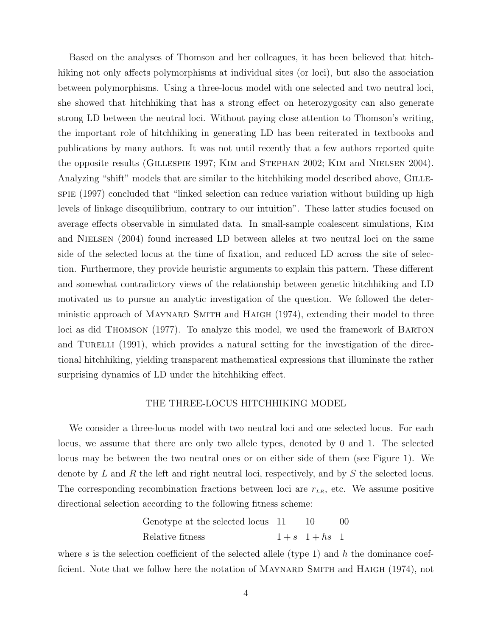Based on the analyses of Thomson and her colleagues, it has been believed that hitchhiking not only affects polymorphisms at individual sites (or loci), but also the association between polymorphisms. Using a three-locus model with one selected and two neutral loci, she showed that hitchhiking that has a strong effect on heterozygosity can also generate strong LD between the neutral loci. Without paying close attention to Thomson's writing, the important role of hitchhiking in generating LD has been reiterated in textbooks and publications by many authors. It was not until recently that a few authors reported quite the opposite results (Gillespie 1997; Kim and Stephan 2002; Kim and Nielsen 2004). Analyzing "shift" models that are similar to the hitchhiking model described above, GILLEspie (1997) concluded that "linked selection can reduce variation without building up high levels of linkage disequilibrium, contrary to our intuition". These latter studies focused on average effects observable in simulated data. In small-sample coalescent simulations, Kim and NIELSEN (2004) found increased LD between alleles at two neutral loci on the same side of the selected locus at the time of fixation, and reduced LD across the site of selection. Furthermore, they provide heuristic arguments to explain this pattern. These different and somewhat contradictory views of the relationship between genetic hitchhiking and LD motivated us to pursue an analytic investigation of the question. We followed the deterministic approach of Maynard Smith and Haigh (1974), extending their model to three loci as did Thomson (1977). To analyze this model, we used the framework of Barton and TURELLI  $(1991)$ , which provides a natural setting for the investigation of the directional hitchhiking, yielding transparent mathematical expressions that illuminate the rather surprising dynamics of LD under the hitchhiking effect.

# THE THREE-LOCUS HITCHHIKING MODEL

We consider a three-locus model with two neutral loci and one selected locus. For each locus, we assume that there are only two allele types, denoted by 0 and 1. The selected locus may be between the two neutral ones or on either side of them (see Figure 1). We denote by L and R the left and right neutral loci, respectively, and by S the selected locus. The corresponding recombination fractions between loci are  $r_{LR}$ , etc. We assume positive directional selection according to the following fitness scheme:

| Genotype at the selected locus 11 | -10                | 00 |
|-----------------------------------|--------------------|----|
| Relative fitness                  | $1 + s$ $1 + hs$ 1 |    |

where s is the selection coefficient of the selected allele (type 1) and h the dominance coefficient. Note that we follow here the notation of MAYNARD SMITH and HAIGH (1974), not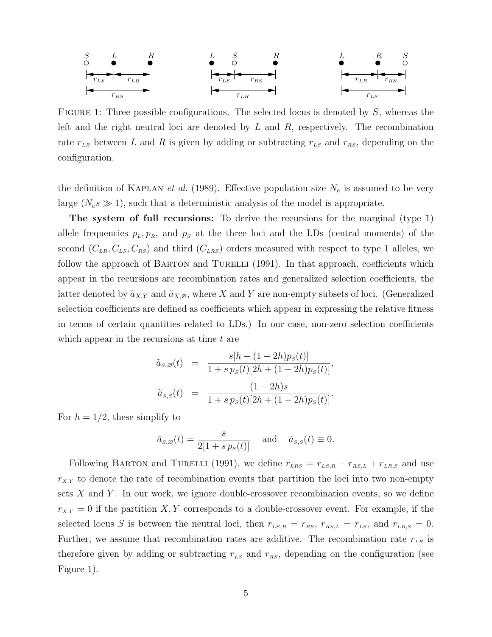| S                          | L               | R               | L                          | S               | R               | L   | R               | S   |
|----------------------------|-----------------|-----------------|----------------------------|-----------------|-----------------|-----|-----------------|-----|
| $ \mathbf{r}_{\text{LS}} $ | $r_{\text{LR}}$ | $ $             | $ \mathbf{r}_{\text{LS}} $ | $r_{\text{RS}}$ | $ $             | $ $ | $r_{\text{LR}}$ | $ $ |
| $r_{\text{RS}}$            | $ $             | $r_{\text{LR}}$ | $ $                        | $ $             | $r_{\text{LR}}$ | $ $ |                 |     |

FIGURE 1: Three possible configurations. The selected locus is denoted by  $S$ , whereas the left and the right neutral loci are denoted by  $L$  and  $R$ , respectively. The recombination rate  $r_{LR}$  between L and R is given by adding or subtracting  $r_{LS}$  and  $r_{RS}$ , depending on the configuration.

the definition of KAPLAN *et al.* (1989). Effective population size  $N_e$  is assumed to be very large  $(N_e s \gg 1)$ , such that a deterministic analysis of the model is appropriate.

The system of full recursions: To derive the recursions for the marginal (type 1) allele frequencies  $p_L, p_R$ , and  $p_S$  at the three loci and the LDs (central moments) of the second  $(C_{LR}, C_{LS}, C_{RS})$  and third  $(C_{LRS})$  orders measured with respect to type 1 alleles, we follow the approach of BARTON and TURELLI  $(1991)$ . In that approach, coefficients which appear in the recursions are recombination rates and generalized selection coefficients, the latter denoted by  $\tilde{a}_{X,Y}$  and  $\tilde{a}_{X,\varnothing}$ , where X and Y are non-empty subsets of loci. (Generalized selection coefficients are defined as coefficients which appear in expressing the relative fitness in terms of certain quantities related to LDs.) In our case, non-zero selection coefficients which appear in the recursions at time  $t$  are

$$
\tilde{a}_{s,\varnothing}(t) = \frac{s[h + (1 - 2h)p_s(t)]}{1 + s p_s(t)[2h + (1 - 2h)p_s(t)]}, \n\tilde{a}_{s,s}(t) = \frac{(1 - 2h)s}{1 + s p_s(t)[2h + (1 - 2h)p_s(t)]}.
$$

For  $h = 1/2$ , these simplify to

$$
\tilde{a}_{s,\varnothing}(t) = \frac{s}{2[1+s p_s(t)]}
$$
 and  $\tilde{a}_{s,s}(t) \equiv 0$ .

Following BARTON and TURELLI (1991), we define  $r_{LRS} = r_{LS,R} + r_{RS,L} + r_{LR,S}$  and use  $r_{X,Y}$  to denote the rate of recombination events that partition the loci into two non-empty sets  $X$  and  $Y$ . In our work, we ignore double-crossover recombination events, so we define  $r_{X,Y} = 0$  if the partition X, Y corresponds to a double-crossover event. For example, if the selected locus S is between the neutral loci, then  $r_{LS,R} = r_{RS}$ ,  $r_{RS,L} = r_{LS}$ , and  $r_{LR,S} = 0$ . Further, we assume that recombination rates are additive. The recombination rate  $r_{LR}$  is therefore given by adding or subtracting  $r_{LS}$  and  $r_{RS}$ , depending on the configuration (see Figure 1).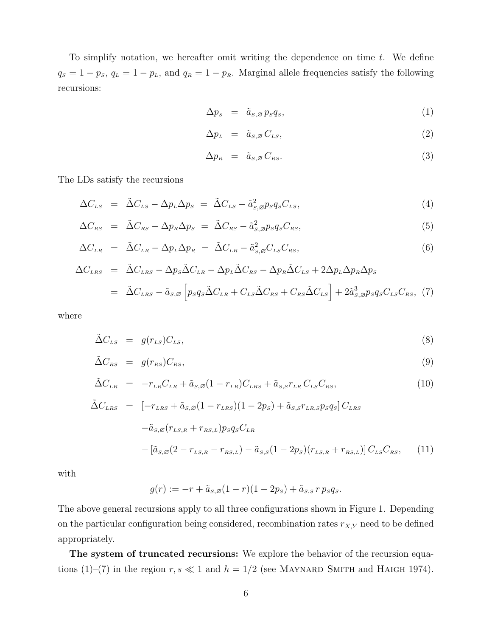To simplify notation, we hereafter omit writing the dependence on time  $t$ . We define  $q_S = 1 - p_S$ ,  $q_L = 1 - p_L$ , and  $q_R = 1 - p_R$ . Marginal allele frequencies satisfy the following recursions:

$$
\Delta p_s = \tilde{a}_{s,\varnothing} p_s q_s,\tag{1}
$$

$$
\Delta p_{L} = \tilde{a}_{s,\varnothing} C_{Ls}, \qquad (2)
$$

$$
\Delta p_R = \tilde{a}_{s,\varnothing} C_{\scriptscriptstyle RS}.\tag{3}
$$

The LDs satisfy the recursions

$$
\Delta C_{LS} = \tilde{\Delta} C_{LS} - \Delta p_L \Delta p_S = \tilde{\Delta} C_{LS} - \tilde{a}_{S,\varnothing}^2 p_S q_S C_{LS},\tag{4}
$$

$$
\Delta C_{RS} = \tilde{\Delta} C_{RS} - \Delta p_R \Delta p_S = \tilde{\Delta} C_{RS} - \tilde{a}_{S,\varnothing}^2 p_S q_S C_{RS}, \tag{5}
$$

$$
\Delta C_{LR} = \tilde{\Delta} C_{LR} - \Delta p_L \Delta p_R = \tilde{\Delta} C_{LR} - \tilde{a}_{S,\varnothing}^2 C_{LS} C_{RS}, \tag{6}
$$

$$
\Delta C_{LRS} = \tilde{\Delta} C_{LRS} - \Delta p_S \tilde{\Delta} C_{LR} - \Delta p_L \tilde{\Delta} C_{RS} - \Delta p_R \tilde{\Delta} C_{LS} + 2\Delta p_L \Delta p_R \Delta p_S
$$
  
= 
$$
\tilde{\Delta} C_{LRS} - \tilde{a}_{S,S} \left[ p_S q_S \tilde{\Delta} C_{LR} + C_{LS} \tilde{\Delta} C_{RS} + C_{RS} \tilde{\Delta} C_{LS} \right] + 2\tilde{a}_{S,S}^3 p_S q_S C_{LS} C_{RS}, (7)
$$

where

$$
\tilde{\Delta}C_{LS} = g(r_{LS})C_{LS},\tag{8}
$$

$$
\tilde{\Delta}C_{RS} = g(r_{RS})C_{RS},\tag{9}
$$

$$
\tilde{\Delta}C_{LR} = -r_{LR}C_{LR} + \tilde{a}_{S,\varnothing}(1-r_{LR})C_{LRS} + \tilde{a}_{S,S}r_{LR}C_{LS}C_{RS},\tag{10}
$$

$$
\tilde{\Delta}C_{LRS} = [-r_{LRS} + \tilde{a}_{S,\varnothing}(1 - r_{LRS})(1 - 2p_S) + \tilde{a}_{S,S}r_{LR,S}p_Sq_S]C_{LRS} \n- \tilde{a}_{S,\varnothing}(r_{LS,R} + r_{RS,L})p_Sq_SC_{LR} \n- [\tilde{a}_{S,\varnothing}(2 - r_{LS,R} - r_{RS,L}) - \tilde{a}_{S,S}(1 - 2p_S)(r_{LS,R} + r_{RS,L})]C_{LS}C_{RS},
$$
\n(11)

with

$$
g(r) := -r + \tilde{a}_{s,\varnothing}(1-r)(1-2p_s) + \tilde{a}_{s,s} r p_s q_s.
$$

The above general recursions apply to all three configurations shown in Figure 1. Depending on the particular configuration being considered, recombination rates  $r_{X,Y}$  need to be defined appropriately.

The system of truncated recursions: We explore the behavior of the recursion equations (1)–(7) in the region  $r, s \ll 1$  and  $h = 1/2$  (see MAYNARD SMITH and HAIGH 1974).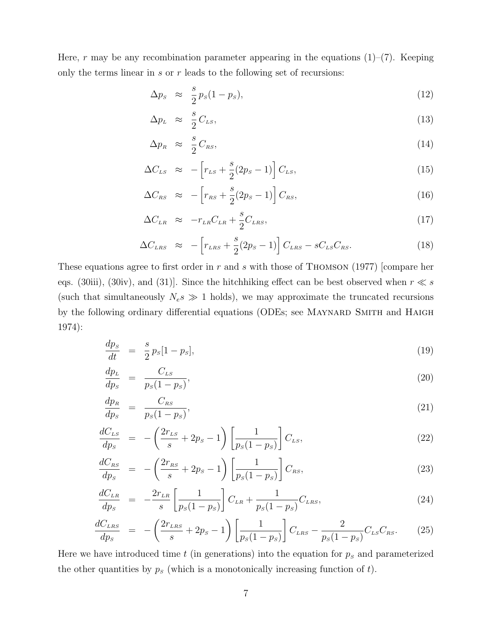Here, r may be any recombination parameter appearing in the equations  $(1)$ – $(7)$ . Keeping only the terms linear in  $s$  or  $r$  leads to the following set of recursions:

$$
\Delta p_s \approx \frac{s}{2} p_s (1 - p_s), \tag{12}
$$

$$
\Delta p_{L} \approx \frac{s}{2} C_{LS},\tag{13}
$$

$$
\Delta p_R \approx \frac{s}{2} C_{RS}, \tag{14}
$$

$$
\Delta C_{LS} \approx -\left[r_{LS} + \frac{s}{2}(2p_S - 1)\right]C_{LS},\tag{15}
$$

$$
\Delta C_{\scriptscriptstyle RS} \approx -\left[r_{\scriptscriptstyle RS} + \frac{s}{2}(2p_{\scriptscriptstyle S} - 1)\right] C_{\scriptscriptstyle RS},\tag{16}
$$

$$
\Delta C_{LR} \approx -r_{LR}C_{LR} + \frac{s}{2}C_{LRS},\tag{17}
$$

$$
\Delta C_{LRS} \approx -\left[r_{LRS} + \frac{s}{2}(2p_S - 1)\right]C_{LRS} - sC_{LS}C_{RS}.
$$
\n(18)

These equations agree to first order in r and s with those of THOMSON  $(1977)$  [compare her eqs. (30iii), (30iv), and (31)]. Since the hitchhiking effect can be best observed when  $r \ll s$ (such that simultaneously  $N_e s \gg 1$  holds), we may approximate the truncated recursions by the following ordinary differential equations (ODEs; see MAYNARD SMITH and HAIGH 1974):

$$
\frac{dp_s}{dt} = \frac{s}{2} p_s [1 - p_s], \tag{19}
$$

$$
\frac{dp_L}{dp_S} = \frac{C_{LS}}{p_S(1-p_S)},\tag{20}
$$

$$
\frac{dp_R}{dp_S} = \frac{C_{RS}}{p_S(1-p_S)},\tag{21}
$$

$$
\frac{dC_{LS}}{dp_S} = -\left(\frac{2r_{LS}}{s} + 2p_S - 1\right) \left[\frac{1}{p_S(1 - p_S)}\right] C_{LS},\tag{22}
$$

$$
\frac{dC_{RS}}{dp_S} = -\left(\frac{2r_{RS}}{s} + 2p_S - 1\right) \left[\frac{1}{p_S(1 - p_S)}\right] C_{RS},\tag{23}
$$

$$
\frac{dC_{LR}}{dp_s} = -\frac{2r_{LR}}{s} \left[ \frac{1}{p_s(1-p_s)} \right] C_{LR} + \frac{1}{p_s(1-p_s)} C_{LRS},\tag{24}
$$

$$
\frac{dC_{LRS}}{dp_S} = -\left(\frac{2r_{LRS}}{s} + 2p_S - 1\right) \left[\frac{1}{p_S(1 - p_S)}\right] C_{LRS} - \frac{2}{p_S(1 - p_S)} C_{LS} C_{RS}.
$$
 (25)

Here we have introduced time t (in generations) into the equation for  $p<sub>s</sub>$  and parameterized the other quantities by  $p<sub>s</sub>$  (which is a monotonically increasing function of t).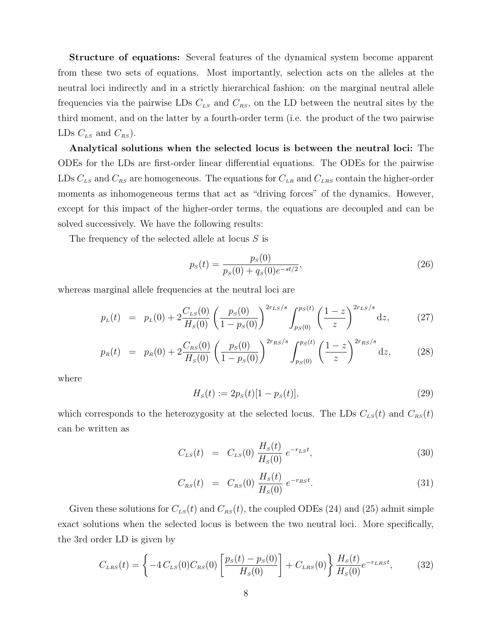Structure of equations: Several features of the dynamical system become apparent from these two sets of equations. Most importantly, selection acts on the alleles at the neutral loci indirectly and in a strictly hierarchical fashion: on the marginal neutral allele frequencies via the pairwise LDs  $C_{LS}$  and  $C_{RS}$ , on the LD between the neutral sites by the third moment, and on the latter by a fourth-order term (i.e. the product of the two pairwise LDs  $C_{LS}$  and  $C_{RS}$ ).

Analytical solutions when the selected locus is between the neutral loci: The ODEs for the LDs are first-order linear differential equations. The ODEs for the pairwise LDs  $C_{LS}$  and  $C_{RS}$  are homogeneous. The equations for  $C_{LR}$  and  $C_{LRS}$  contain the higher-order moments as inhomogeneous terms that act as "driving forces" of the dynamics. However, except for this impact of the higher-order terms, the equations are decoupled and can be solved successively. We have the following results:

The frequency of the selected allele at locus S is

$$
p_s(t) = \frac{p_s(0)}{p_s(0) + q_s(0)e^{-st/2}},
$$
\n(26)

whereas marginal allele frequencies at the neutral loci are

$$
p_L(t) = p_L(0) + 2 \frac{C_{LS}(0)}{H_S(0)} \left(\frac{p_S(0)}{1 - p_S(0)}\right)^{2r_{LS}/s} \int_{p_S(0)}^{p_S(t)} \left(\frac{1 - z}{z}\right)^{2r_{LS}/s} dz, \tag{27}
$$

$$
p_R(t) = p_R(0) + 2 \frac{C_{RS}(0)}{H_S(0)} \left(\frac{p_S(0)}{1 - p_S(0)}\right)^{2r_{RS}/s} \int_{p_S(0)}^{p_S(t)} \left(\frac{1 - z}{z}\right)^{2r_{RS}/s} dz, \tag{28}
$$

where

$$
H_s(t) := 2p_s(t)[1 - p_s(t)],
$$
\n(29)

which corresponds to the heterozygosity at the selected locus. The LDs  $C_{LS}(t)$  and  $C_{RS}(t)$ can be written as

$$
C_{LS}(t) = C_{LS}(0) \frac{H_S(t)}{H_S(0)} e^{-r_{LS}t}, \qquad (30)
$$

$$
C_{RS}(t) = C_{RS}(0) \frac{H_S(t)}{H_S(0)} e^{-r_{RS}t}.
$$
\n(31)

Given these solutions for  $C_{LS}(t)$  and  $C_{RS}(t)$ , the coupled ODEs (24) and (25) admit simple exact solutions when the selected locus is between the two neutral loci. More specifically, the 3rd order LD is given by

$$
C_{LRS}(t) = \left\{-4 C_{LS}(0) C_{RS}(0) \left[\frac{p_S(t) - p_S(0)}{H_S(0)}\right] + C_{LRS}(0)\right\} \frac{H_S(t)}{H_S(0)} e^{-r_{LRS}t},\tag{32}
$$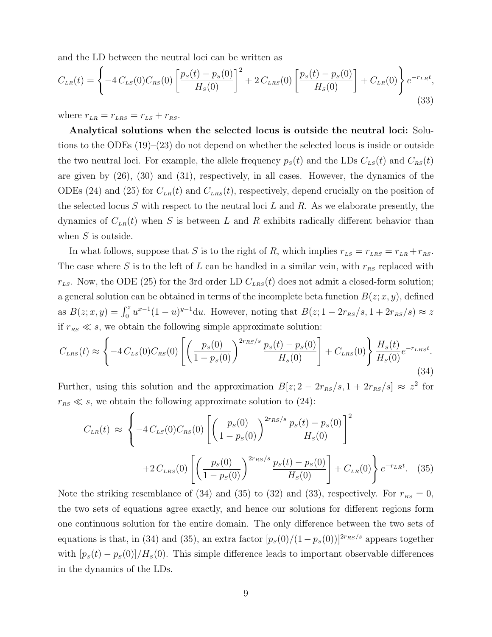and the LD between the neutral loci can be written as

$$
C_{LR}(t) = \left\{-4 C_{LS}(0) C_{RS}(0) \left[\frac{p_S(t) - p_S(0)}{H_S(0)}\right]^2 + 2 C_{LRS}(0) \left[\frac{p_S(t) - p_S(0)}{H_S(0)}\right] + C_{LR}(0)\right\} e^{-r_{LR}t},\tag{33}
$$

where  $r_{LR} = r_{LRS} = r_{LS} + r_{RS}$ .

Analytical solutions when the selected locus is outside the neutral loci: Solutions to the ODEs (19)–(23) do not depend on whether the selected locus is inside or outside the two neutral loci. For example, the allele frequency  $p_S(t)$  and the LDs  $C_{LS}(t)$  and  $C_{RS}(t)$ are given by (26), (30) and (31), respectively, in all cases. However, the dynamics of the ODEs (24) and (25) for  $C_{LR}(t)$  and  $C_{LR}(t)$ , respectively, depend crucially on the position of the selected locus S with respect to the neutral loci  $L$  and  $R$ . As we elaborate presently, the dynamics of  $C_{LR}(t)$  when S is between L and R exhibits radically different behavior than when  $S$  is outside.

In what follows, suppose that S is to the right of R, which implies  $r_{LS} = r_{LR} + r_{RS}$ . The case where S is to the left of L can be handled in a similar vein, with  $r_{RS}$  replaced with  $r_{LS}$ . Now, the ODE (25) for the 3rd order LD  $C_{LRS}(t)$  does not admit a closed-form solution; a general solution can be obtained in terms of the incomplete beta function  $B(z; x, y)$ , defined as  $B(z; x, y) = \int_0^z u^{x-1}(1-u)^{y-1} du$ . However, noting that  $B(z; 1 - 2r_{\text{RS}}/s, 1 + 2r_{\text{RS}}/s) \approx z$ if  $r_{RS} \ll s$ , we obtain the following simple approximate solution:

$$
C_{LRS}(t) \approx \left\{-4 C_{LS}(0) C_{RS}(0) \left[ \left(\frac{p_s(0)}{1 - p_s(0)}\right)^{2r_{RS}/s} \frac{p_s(t) - p_s(0)}{H_s(0)}\right] + C_{LRS}(0) \right\} \frac{H_s(t)}{H_s(0)} e^{-r_{LRS}t}.
$$
\n(34)

Further, using this solution and the approximation  $B[z; 2 - 2r_{RS}/s, 1 + 2r_{RS}/s] \approx z^2$  for  $r_{RS} \ll s$ , we obtain the following approximate solution to (24):

$$
C_{LR}(t) \approx \left\{ -4 C_{LS}(0) C_{RS}(0) \left[ \left( \frac{p_S(0)}{1 - p_S(0)} \right)^{2r_{RS}/s} \frac{p_S(t) - p_S(0)}{H_S(0)} \right]^2 + 2 C_{LRS}(0) \left[ \left( \frac{p_S(0)}{1 - p_S(0)} \right)^{2r_{RS}/s} \frac{p_S(t) - p_S(0)}{H_S(0)} \right] + C_{LR}(0) \right\} e^{-r_{LR}t}.
$$
 (35)

Note the striking resemblance of (34) and (35) to (32) and (33), respectively. For  $r_{RS} = 0$ , the two sets of equations agree exactly, and hence our solutions for different regions form one continuous solution for the entire domain. The only difference between the two sets of equations is that, in (34) and (35), an extra factor  $[p_s(0)/(1 - p_s(0))]^{2r_{RS}/s}$  appears together with  $[p_s(t) - p_s(0)]/H_s(0)$ . This simple difference leads to important observable differences in the dynamics of the LDs.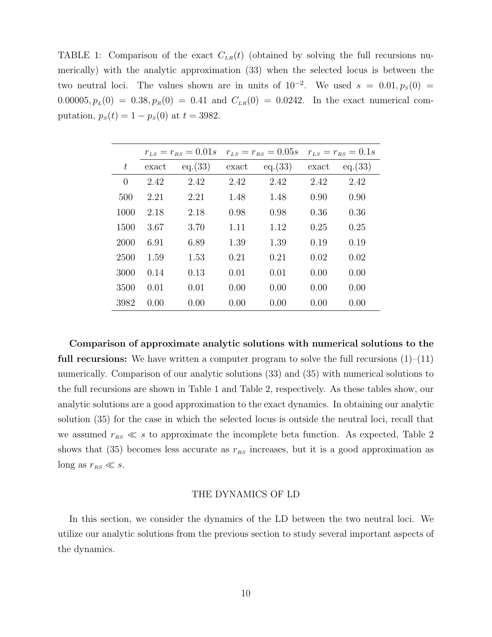TABLE 1: Comparison of the exact  $C_{LR}(t)$  (obtained by solving the full recursions numerically) with the analytic approximation (33) when the selected locus is between the two neutral loci. The values shown are in units of  $10^{-2}$ . We used  $s = 0.01, p_s(0) =$  $0.00005, p_L(0) = 0.38, p_R(0) = 0.41$  and  $C_{LR}(0) = 0.0242$ . In the exact numerical computation,  $p_S(t) = 1 - p_S(0)$  at  $t = 3982$ .

|          | $r_{LS} = r_{RS} = 0.01s$ |         | $r_{LS} = r_{RS} = 0.05s$ |         | $r_{LS} = r_{RS} = 0.1s$ |         |
|----------|---------------------------|---------|---------------------------|---------|--------------------------|---------|
| t        | exact                     | eq.(33) | exact                     | eq.(33) | exact                    | eq.(33) |
| $\theta$ | 2.42                      | 2.42    | 2.42                      | 2.42    | 2.42                     | 2.42    |
| 500      | 2.21                      | 2.21    | 1.48                      | 1.48    | 0.90                     | 0.90    |
| 1000     | 2.18                      | 2.18    | 0.98                      | 0.98    | 0.36                     | 0.36    |
| 1500     | 3.67                      | 3.70    | 1.11                      | 1.12    | 0.25                     | 0.25    |
| 2000     | 6.91                      | 6.89    | 1.39                      | 1.39    | 0.19                     | 0.19    |
| 2500     | 1.59                      | 1.53    | 0.21                      | 0.21    | 0.02                     | 0.02    |
| 3000     | 0.14                      | 0.13    | 0.01                      | 0.01    | 0.00                     | 0.00    |
| 3500     | 0.01                      | 0.01    | 0.00                      | 0.00    | 0.00                     | 0.00    |
| 3982     | 0.00                      | 0.00    | 0.00                      | 0.00    | 0.00                     | 0.00    |

Comparison of approximate analytic solutions with numerical solutions to the **full recursions:** We have written a computer program to solve the full recursions  $(1)$ – $(11)$ numerically. Comparison of our analytic solutions (33) and (35) with numerical solutions to the full recursions are shown in Table 1 and Table 2, respectively. As these tables show, our analytic solutions are a good approximation to the exact dynamics. In obtaining our analytic solution (35) for the case in which the selected locus is outside the neutral loci, recall that we assumed  $r_{RS} \ll s$  to approximate the incomplete beta function. As expected, Table 2 shows that (35) becomes less accurate as  $r_{RS}$  increases, but it is a good approximation as long as  $r_{RS} \ll s$ .

#### THE DYNAMICS OF LD

In this section, we consider the dynamics of the LD between the two neutral loci. We utilize our analytic solutions from the previous section to study several important aspects of the dynamics.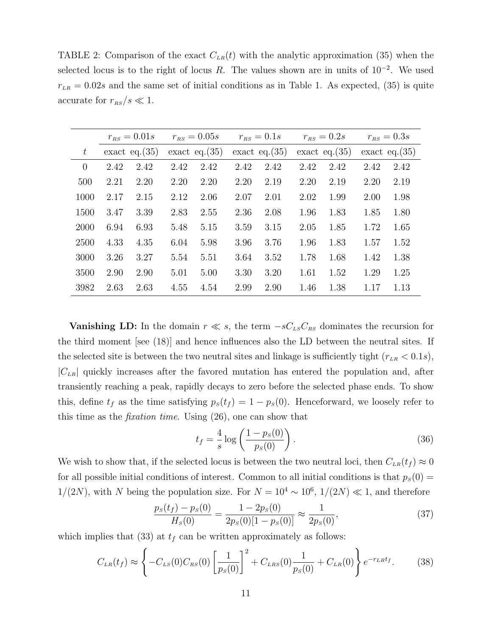TABLE 2: Comparison of the exact  $C_{LR}(t)$  with the analytic approximation (35) when the selected locus is to the right of locus R. The values shown are in units of  $10^{-2}$ . We used  $r_{LR} = 0.02s$  and the same set of initial conditions as in Table 1. As expected, (35) is quite accurate for  $r_{RS}/s \ll 1$ .

|           | $r_{RS} = 0.01s$ |                  | $r_{RS} = 0.05s$ |                  | $r_{RS} = 0.1s$ |                  | $r_{RS} = 0.2s$ |                  | $r_{RS} = 0.3s$ |                  |
|-----------|------------------|------------------|------------------|------------------|-----------------|------------------|-----------------|------------------|-----------------|------------------|
| $t_{\rm}$ |                  | exact eq. $(35)$ |                  | exact eq. $(35)$ |                 | exact eq. $(35)$ |                 | exact eq. $(35)$ |                 | exact eq. $(35)$ |
| $\theta$  | 2.42             | 2.42             | 2.42             | 2.42             | 2.42            | 2.42             | 2.42            | 2.42             | 2.42            | 2.42             |
| 500       | 2.21             | 2.20             | 2.20             | 2.20             | 2.20            | 2.19             | 2.20            | 2.19             | 2.20            | 2.19             |
| 1000      | 2.17             | 2.15             | 2.12             | 2.06             | 2.07            | 2.01             | 2.02            | 1.99             | 2.00            | 1.98             |
| 1500      | 3.47             | 3.39             | 2.83             | 2.55             | 2.36            | 2.08             | 1.96            | 1.83             | 1.85            | 1.80             |
| 2000      | 6.94             | 6.93             | 5.48             | 5.15             | 3.59            | 3.15             | 2.05            | 1.85             | 1.72            | 1.65             |
| 2500      | 4.33             | 4.35             | 6.04             | 5.98             | 3.96            | 3.76             | 1.96            | 1.83             | 1.57            | 1.52             |
| 3000      | 3.26             | 3.27             | 5.54             | 5.51             | 3.64            | 3.52             | 1.78            | 1.68             | 1.42            | 1.38             |
| 3500      | 2.90             | 2.90             | 5.01             | 5.00             | 3.30            | 3.20             | 1.61            | 1.52             | 1.29            | 1.25             |
| 3982      | 2.63             | 2.63             | 4.55             | 4.54             | 2.99            | 2.90             | 1.46            | 1.38             | 1.17            | 1.13             |

**Vanishing LD:** In the domain  $r \ll s$ , the term  $-sC_{LS}C_{RS}$  dominates the recursion for the third moment [see (18)] and hence influences also the LD between the neutral sites. If the selected site is between the two neutral sites and linkage is sufficiently tight  $(r_{LR} < 0.1s)$ ,  $|C_{LR}|$  quickly increases after the favored mutation has entered the population and, after transiently reaching a peak, rapidly decays to zero before the selected phase ends. To show this, define  $t_f$  as the time satisfying  $p_s(t_f) = 1 - p_s(0)$ . Henceforward, we loosely refer to this time as the fixation time. Using (26), one can show that

$$
t_f = \frac{4}{s} \log \left( \frac{1 - p_s(0)}{p_s(0)} \right). \tag{36}
$$

We wish to show that, if the selected locus is between the two neutral loci, then  $C_{LR}(t_f) \approx 0$ for all possible initial conditions of interest. Common to all initial conditions is that  $p<sub>s</sub>(0)$  =  $1/(2N)$ , with N being the population size. For  $N = 10^4 \sim 10^6$ ,  $1/(2N) \ll 1$ , and therefore

$$
\frac{p_s(t_f) - p_s(0)}{H_s(0)} = \frac{1 - 2p_s(0)}{2p_s(0)[1 - p_s(0)]} \approx \frac{1}{2p_s(0)},\tag{37}
$$

which implies that (33) at  $t_f$  can be written approximately as follows:

$$
C_{LR}(t_f) \approx \left\{-C_{LS}(0)C_{RS}(0)\left[\frac{1}{p_S(0)}\right]^2 + C_{LRS}(0)\frac{1}{p_S(0)} + C_{LR}(0)\right\}e^{-r_{LR}t_f}.\tag{38}
$$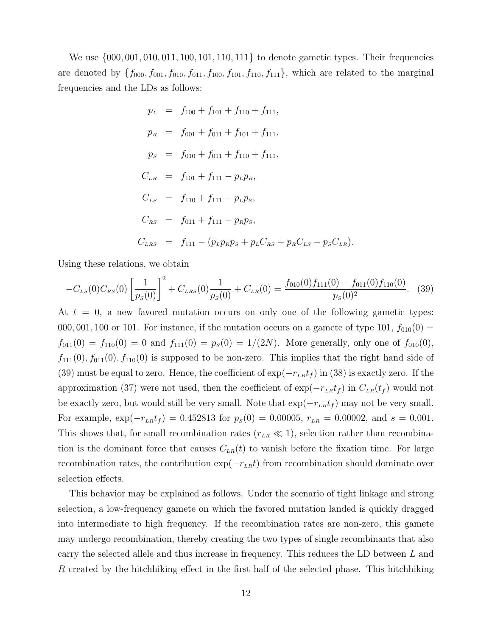We use  $\{000, 001, 010, 011, 100, 101, 110, 111\}$  to denote gametic types. Their frequencies are denoted by  $\{f_{000}, f_{001}, f_{010}, f_{011}, f_{100}, f_{101}, f_{110}, f_{111}\}$ , which are related to the marginal frequencies and the LDs as follows:

$$
p_L = f_{100} + f_{101} + f_{110} + f_{111},
$$
  
\n
$$
p_R = f_{001} + f_{011} + f_{101} + f_{111},
$$
  
\n
$$
p_S = f_{010} + f_{011} + f_{110} + f_{111},
$$
  
\n
$$
C_{LR} = f_{101} + f_{111} - p_L p_R,
$$
  
\n
$$
C_{LS} = f_{110} + f_{111} - p_L p_S,
$$
  
\n
$$
C_{RS} = f_{011} + f_{111} - p_R p_S,
$$
  
\n
$$
C_{LRS} = f_{111} - (p_L p_R p_S + p_L C_{RS} + p_R C_{LS} + p_S C_{LR}).
$$

Using these relations, we obtain

$$
-C_{LS}(0)C_{RS}(0)\left[\frac{1}{p_S(0)}\right]^2 + C_{LRS}(0)\frac{1}{p_S(0)} + C_{LR}(0) = \frac{f_{010}(0)f_{111}(0) - f_{011}(0)f_{110}(0)}{p_S(0)^2}.
$$
 (39)

At  $t = 0$ , a new favored mutation occurs on only one of the following gametic types: 000, 001, 100 or 101. For instance, if the mutation occurs on a gamete of type 101,  $f_{010}(0)$  =  $f_{011}(0) = f_{110}(0) = 0$  and  $f_{111}(0) = p_s(0) = 1/(2N)$ . More generally, only one of  $f_{010}(0)$ ,  $f_{111}(0), f_{011}(0), f_{110}(0)$  is supposed to be non-zero. This implies that the right hand side of (39) must be equal to zero. Hence, the coefficient of  $\exp(-r_{LR}t_f)$  in (38) is exactly zero. If the approximation (37) were not used, then the coefficient of  $\exp(-r_{LR}t_f)$  in  $C_{LR}(t_f)$  would not be exactly zero, but would still be very small. Note that  $\exp(-r_{LR}t_f)$  may not be very small. For example,  $\exp(-r_{LR}t_f) = 0.452813$  for  $p_s(0) = 0.00005$ ,  $r_{LR} = 0.00002$ , and  $s = 0.001$ . This shows that, for small recombination rates  $(r_{LR} \ll 1)$ , selection rather than recombination is the dominant force that causes  $C_{LR}(t)$  to vanish before the fixation time. For large recombination rates, the contribution  $\exp(-r_{LR}t)$  from recombination should dominate over selection effects.

This behavior may be explained as follows. Under the scenario of tight linkage and strong selection, a low-frequency gamete on which the favored mutation landed is quickly dragged into intermediate to high frequency. If the recombination rates are non-zero, this gamete may undergo recombination, thereby creating the two types of single recombinants that also carry the selected allele and thus increase in frequency. This reduces the LD between L and R created by the hitchhiking effect in the first half of the selected phase. This hitchhiking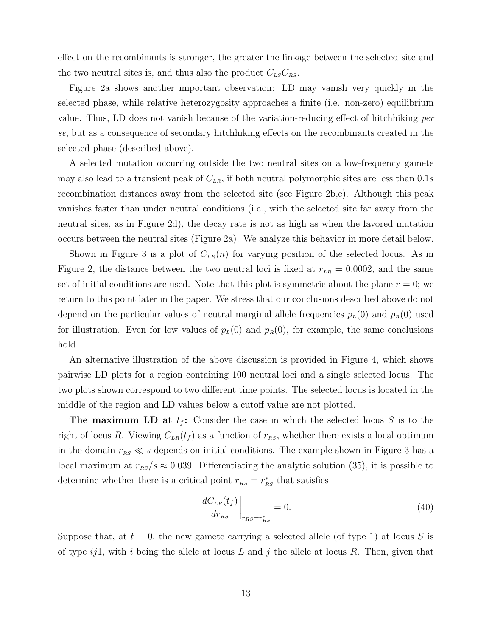effect on the recombinants is stronger, the greater the linkage between the selected site and the two neutral sites is, and thus also the product  $C_{LS}C_{RS}$ .

Figure 2a shows another important observation: LD may vanish very quickly in the selected phase, while relative heterozygosity approaches a finite (i.e. non-zero) equilibrium value. Thus, LD does not vanish because of the variation-reducing effect of hitchhiking per se, but as a consequence of secondary hitchhiking effects on the recombinants created in the selected phase (described above).

A selected mutation occurring outside the two neutral sites on a low-frequency gamete may also lead to a transient peak of  $C_{LR}$ , if both neutral polymorphic sites are less than 0.1s recombination distances away from the selected site (see Figure 2b,c). Although this peak vanishes faster than under neutral conditions (i.e., with the selected site far away from the neutral sites, as in Figure 2d), the decay rate is not as high as when the favored mutation occurs between the neutral sites (Figure 2a). We analyze this behavior in more detail below.

Shown in Figure 3 is a plot of  $C_{LR}(n)$  for varying position of the selected locus. As in Figure 2, the distance between the two neutral loci is fixed at  $r_{LR} = 0.0002$ , and the same set of initial conditions are used. Note that this plot is symmetric about the plane  $r = 0$ ; we return to this point later in the paper. We stress that our conclusions described above do not depend on the particular values of neutral marginal allele frequencies  $p_L(0)$  and  $p_R(0)$  used for illustration. Even for low values of  $p<sub>L</sub>(0)$  and  $p<sub>R</sub>(0)$ , for example, the same conclusions hold.

An alternative illustration of the above discussion is provided in Figure 4, which shows pairwise LD plots for a region containing 100 neutral loci and a single selected locus. The two plots shown correspond to two different time points. The selected locus is located in the middle of the region and LD values below a cutoff value are not plotted.

**The maximum LD at**  $t_f$ **:** Consider the case in which the selected locus S is to the right of locus R. Viewing  $C_{LR}(t_f)$  as a function of  $r_{RS}$ , whether there exists a local optimum in the domain  $r_{RS} \ll s$  depends on initial conditions. The example shown in Figure 3 has a local maximum at  $r_{RS}/s \approx 0.039$ . Differentiating the analytic solution (35), it is possible to determine whether there is a critical point  $r_{RS} = r_{RS}^*$  that satisfies

$$
\left. \frac{dC_{LR}(t_f)}{dr_{RS}} \right|_{r_{RS}=r_{RS}^*} = 0. \tag{40}
$$

Suppose that, at  $t = 0$ , the new gamete carrying a selected allele (of type 1) at locus S is of type  $ij1$ , with i being the allele at locus L and j the allele at locus R. Then, given that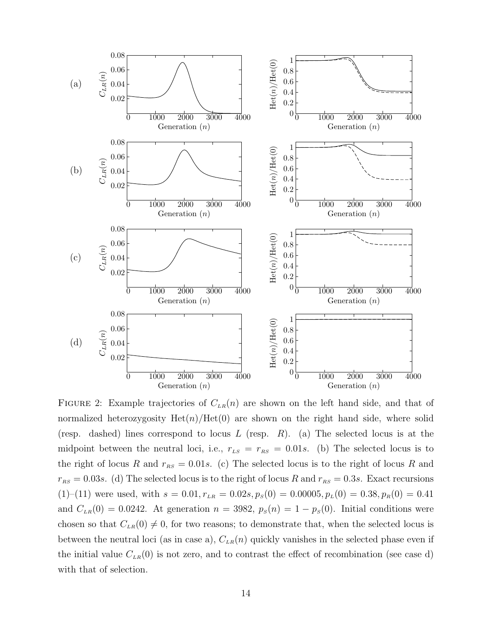

FIGURE 2: Example trajectories of  $C_{LR}(n)$  are shown on the left hand side, and that of normalized heterozygosity  $Het(n)/Het(0)$  are shown on the right hand side, where solid (resp. dashed) lines correspond to locus  $L$  (resp.  $R$ ). (a) The selected locus is at the midpoint between the neutral loci, i.e.,  $r_{LS} = r_{RS} = 0.01s$ . (b) The selected locus is to the right of locus R and  $r_{RS} = 0.01s$ . (c) The selected locus is to the right of locus R and  $r_{RS} = 0.03s$ . (d) The selected locus is to the right of locus R and  $r_{RS} = 0.3s$ . Exact recursions (1)–(11) were used, with  $s = 0.01, r_{LR} = 0.02s, p_s(0) = 0.00005, p_L(0) = 0.38, p_R(0) = 0.41$ and  $C_{LR}(0) = 0.0242$ . At generation  $n = 3982$ ,  $p_S(n) = 1 - p_S(0)$ . Initial conditions were chosen so that  $C_{LR}(0) \neq 0$ , for two reasons; to demonstrate that, when the selected locus is between the neutral loci (as in case a),  $C_{LR}(n)$  quickly vanishes in the selected phase even if the initial value  $C_{LR}(0)$  is not zero, and to contrast the effect of recombination (see case d) with that of selection.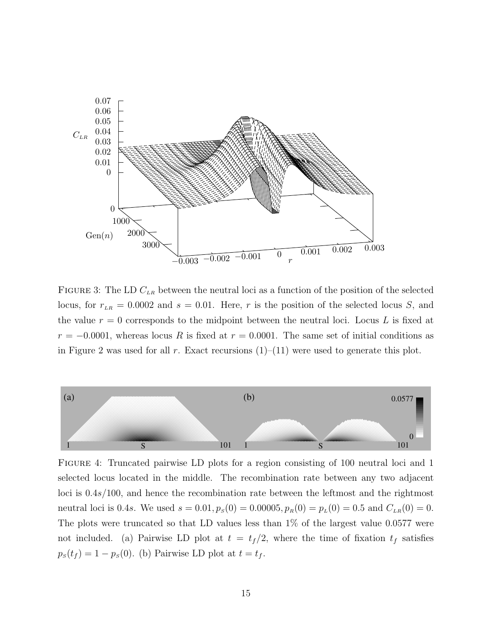

FIGURE 3: The LD  $C_{LR}$  between the neutral loci as a function of the position of the selected locus, for  $r_{LR} = 0.0002$  and  $s = 0.01$ . Here, r is the position of the selected locus S, and the value  $r = 0$  corresponds to the midpoint between the neutral loci. Locus L is fixed at  $r = -0.0001$ , whereas locus R is fixed at  $r = 0.0001$ . The same set of initial conditions as in Figure 2 was used for all r. Exact recursions  $(1)$ – $(11)$  were used to generate this plot.



Figure 4: Truncated pairwise LD plots for a region consisting of 100 neutral loci and 1 selected locus located in the middle. The recombination rate between any two adjacent loci is 0.4s/100, and hence the recombination rate between the leftmost and the rightmost neutral loci is 0.4s. We used  $s = 0.01$ ,  $p_S(0) = 0.00005$ ,  $p_R(0) = p_L(0) = 0.5$  and  $C_{LR}(0) = 0$ . The plots were truncated so that LD values less than 1% of the largest value 0.0577 were not included. (a) Pairwise LD plot at  $t = t_f/2$ , where the time of fixation  $t_f$  satisfies  $p_S(t_f) = 1 - p_S(0)$ . (b) Pairwise LD plot at  $t = t_f$ .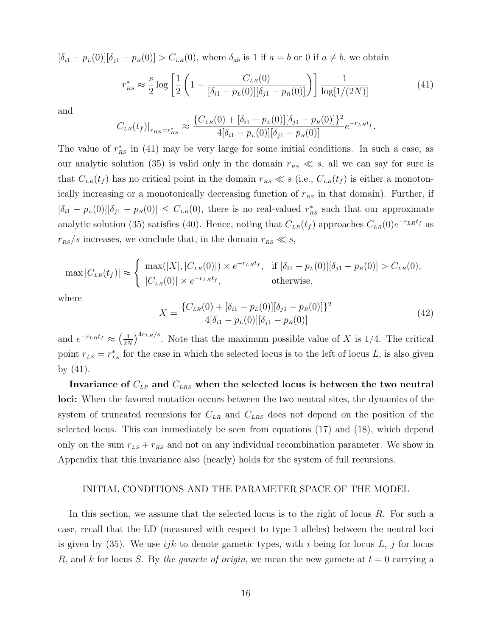$[\delta_{i1} - p_L(0)][\delta_{j1} - p_R(0)] > C_{LR}(0)$ , where  $\delta_{ab}$  is 1 if  $a = b$  or 0 if  $a \neq b$ , we obtain

$$
r_{RS}^* \approx \frac{s}{2} \log \left[ \frac{1}{2} \left( 1 - \frac{C_{LR}(0)}{[\delta_{i1} - p_L(0)][\delta_{j1} - p_R(0)]} \right) \right] \frac{1}{\log[1/(2N)]}
$$
(41)

and

$$
C_{LR}(t_f)|_{r_{RS}=r_{RS}^*} \approx \frac{\{C_{LR}(0) + [\delta_{i1} - p_L(0)][\delta_{j1} - p_R(0)]\}^2}{4[\delta_{i1} - p_L(0)][\delta_{j1} - p_R(0)]}e^{-r_{LR}t_f}.
$$

The value of  $r_{RS}^*$  in (41) may be very large for some initial conditions. In such a case, as our analytic solution (35) is valid only in the domain  $r_{RS} \ll s$ , all we can say for sure is that  $C_{LR}(t_f)$  has no critical point in the domain  $r_{RS} \ll s$  (i.e.,  $C_{LR}(t_f)$  is either a monotonically increasing or a monotonically decreasing function of  $r_{RS}$  in that domain). Further, if  $[\delta_{i1} - p_L(0)][\delta_{j1} - p_R(0)] \leq C_{LR}(0)$ , there is no real-valued  $r_{RS}^*$  such that our approximate analytic solution (35) satisfies (40). Hence, noting that  $C_{LR}(t_f)$  approaches  $C_{LR}(0)e^{-r_LRt_f}$  as  $r_{RS}/s$  increases, we conclude that, in the domain  $r_{RS} \ll s$ ,

$$
\max |C_{LR}(t_f)| \approx \begin{cases} \max(|X|, |C_{LR}(0)|) \times e^{-r_{LR}t_f}, & \text{if } [\delta_{i1} - p_L(0)][\delta_{j1} - p_R(0)] > C_{LR}(0), \\ |C_{LR}(0)| \times e^{-r_{LR}t_f}, & \text{otherwise,} \end{cases}
$$

where

$$
X = \frac{\{C_{LR}(0) + [\delta_{i1} - p_L(0)][\delta_{j1} - p_R(0)]\}^2}{4[\delta_{i1} - p_L(0)][\delta_{j1} - p_R(0)]}
$$
(42)

and  $e^{-r_{LR}t_f} \approx \left(\frac{1}{2} \right)$  $\frac{1}{2N}$ <sup>4rLR/s</sup>. Note that the maximum possible value of X is 1/4. The critical point  $r_{LS} = r_{LS}^*$  for the case in which the selected locus is to the left of locus L, is also given by (41).

Invariance of  $C_{LR}$  and  $C_{LR}$  when the selected locus is between the two neutral loci: When the favored mutation occurs between the two neutral sites, the dynamics of the system of truncated recursions for  $C_{LR}$  and  $C_{LRS}$  does not depend on the position of the selected locus. This can immediately be seen from equations (17) and (18), which depend only on the sum  $r_{LS} + r_{RS}$  and not on any individual recombination parameter. We show in Appendix that this invariance also (nearly) holds for the system of full recursions.

#### INITIAL CONDITIONS AND THE PARAMETER SPACE OF THE MODEL

In this section, we assume that the selected locus is to the right of locus R. For such a case, recall that the LD (measured with respect to type 1 alleles) between the neutral loci is given by  $(35)$ . We use ijk to denote gametic types, with i being for locus L, j for locus R, and k for locus S. By the gamete of origin, we mean the new gamete at  $t = 0$  carrying a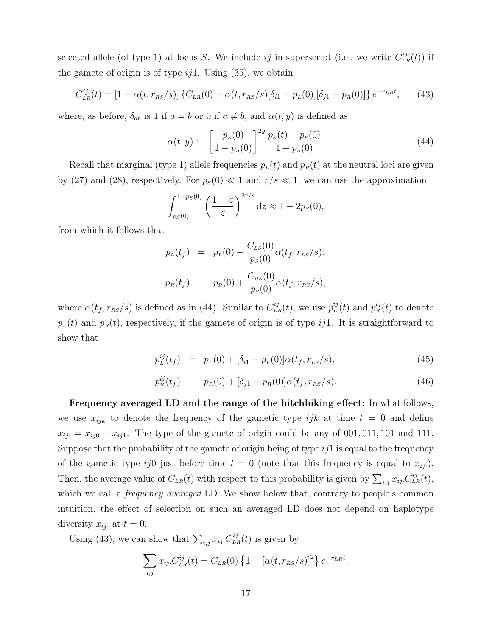selected allele (of type 1) at locus S. We include ij in superscript (i.e., we write  $C_{LR}^{ij}(t)$ ) if the gamete of origin is of type  $ij1$ . Using  $(35)$ , we obtain

$$
C_{LR}^{ij}(t) = [1 - \alpha(t, r_{RS}/s)] \{C_{LR}(0) + \alpha(t, r_{RS}/s)[\delta_{i1} - p_L(0)][\delta_{j1} - p_R(0)]\} e^{-r_{LR}t}, \qquad (43)
$$

where, as before,  $\delta_{ab}$  is 1 if  $a = b$  or 0 if  $a \neq b$ , and  $\alpha(t, y)$  is defined as

$$
\alpha(t, y) := \left[\frac{p_s(0)}{1 - p_s(0)}\right]^{2y} \frac{p_s(t) - p_s(0)}{1 - p_s(0)}.\tag{44}
$$

Recall that marginal (type 1) allele frequencies  $p_L(t)$  and  $p_R(t)$  at the neutral loci are given by (27) and (28), respectively. For  $p_s(0) \ll 1$  and  $r/s \ll 1$ , we can use the approximation

$$
\int_{p_S(0)}^{1-p_S(0)} \left(\frac{1-z}{z}\right)^{2r/s} dz \approx 1 - 2p_S(0),
$$

from which it follows that

$$
p_L(t_f) = p_L(0) + \frac{C_{LS}(0)}{p_S(0)} \alpha(t_f, r_{LS}/s),
$$
  

$$
p_R(t_f) = p_R(0) + \frac{C_{RS}(0)}{p_S(0)} \alpha(t_f, r_{RS}/s),
$$

where  $\alpha(t_f, r_{RS}/s)$  is defined as in (44). Similar to  $C_{LR}^{ij}(t)$ , we use  $p_L^{ij}(t)$  and  $p_R^{ij}(t)$  to denote  $p_{\mu}(t)$  and  $p_{\mu}(t)$ , respectively, if the gamete of origin is of type ij1. It is straightforward to show that

$$
p_L^{ij}(t_f) = p_L(0) + [\delta_{i1} - p_L(0)]\alpha(t_f, r_{LS}/s), \qquad (45)
$$

$$
p_R^{ij}(t_f) = p_R(0) + [\delta_{j1} - p_R(0)] \alpha(t_f, r_{RS}/s). \tag{46}
$$

Frequency averaged LD and the range of the hitchhiking effect: In what follows, we use  $x_{ijk}$  to denote the frequency of the gametic type  $ijk$  at time  $t = 0$  and define  $x_{ij} = x_{ij0} + x_{ij1}$ . The type of the gamete of origin could be any of 001, 011, 101 and 111. Suppose that the probability of the gamete of origin being of type  $ij1$  is equal to the frequency of the gametic type ij0 just before time  $t = 0$  (note that this frequency is equal to  $x_{ij}$ ). Then, the average value of  $C_{LR}(t)$  with respect to this probability is given by  $\sum_{i,j} x_{ij} C_{LR}^{ij}(t)$ , which we call a *frequency averaged* LD. We show below that, contrary to people's common intuition, the effect of selection on such an averaged LD does not depend on haplotype diversity  $x_{ij}$  at  $t = 0$ .

Using (43), we can show that  $\sum_{i,j} x_{ij} C_{LR}^{ij}(t)$  is given by

$$
\sum_{i,j} x_{ij} C_{LR}^{ij}(t) = C_{LR}(0) \left\{ 1 - [\alpha(t, r_{RS}/s)]^2 \right\} e^{-r_{LR}t}.
$$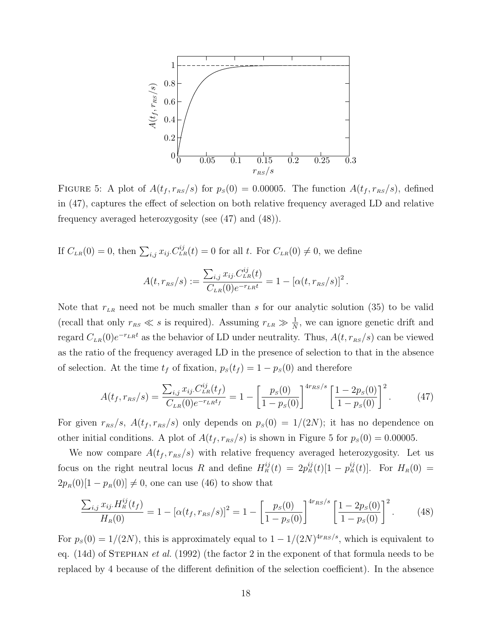

FIGURE 5: A plot of  $A(t_f, r_{RS}/s)$  for  $p_S(0) = 0.00005$ . The function  $A(t_f, r_{RS}/s)$ , defined in (47), captures the effect of selection on both relative frequency averaged LD and relative frequency averaged heterozygosity (see (47) and (48)).

If  $C_{LR}(0) = 0$ , then  $\sum_{i,j} x_{ij} C_{LR}^{ij}(t) = 0$  for all t. For  $C_{LR}(0) \neq 0$ , we define

$$
A(t, r_{RS}/s) := \frac{\sum_{i,j} x_{ij} C_{LR}^{ij}(t)}{C_{LR}(0)e^{-r_{LR}t}} = 1 - [\alpha(t, r_{RS}/s)]^2.
$$

Note that  $r_{LR}$  need not be much smaller than s for our analytic solution (35) to be valid (recall that only  $r_{RS} \ll s$  is required). Assuming  $r_{LR} \gg \frac{1}{N}$ , we can ignore genetic drift and regard  $C_{LR}(0)e^{-r_{LR}t}$  as the behavior of LD under neutrality. Thus,  $A(t, r_{RS}/s)$  can be viewed as the ratio of the frequency averaged LD in the presence of selection to that in the absence of selection. At the time  $t_f$  of fixation,  $p_s(t_f) = 1 - p_s(0)$  and therefore

$$
A(t_f, r_{\scriptscriptstyle RS}/s) = \frac{\sum_{i,j} x_{ij} C_{LR}^{ij}(t_f)}{C_{LR}(0)e^{-r_{LR}t_f}} = 1 - \left[\frac{p_s(0)}{1 - p_s(0)}\right]^{4r_{\scriptscriptstyle RS}/s} \left[\frac{1 - 2p_s(0)}{1 - p_s(0)}\right]^2. \tag{47}
$$

For given  $r_{RS}/s$ ,  $A(t_f, r_{RS}/s)$  only depends on  $p_S(0) = 1/(2N)$ ; it has no dependence on other initial conditions. A plot of  $A(t_f, r_{RS}/s)$  is shown in Figure 5 for  $p_S(0) = 0.00005$ .

We now compare  $A(t_f, r_{RS}/s)$  with relative frequency averaged heterozygosity. Let us focus on the right neutral locus R and define  $H_R^{ij}(t) = 2p_R^{ij}(t)[1-p_R^{ij}(t)]$ . For  $H_R(0) =$  $2p_R(0)[1 - p_R(0)] \neq 0$ , one can use (46) to show that

$$
\frac{\sum_{i,j} x_{ij} H_R^{ij}(t_f)}{H_R(0)} = 1 - [\alpha(t_f, r_{RS}/s)]^2 = 1 - \left[\frac{p_s(0)}{1 - p_s(0)}\right]^{4r_{RS}/s} \left[\frac{1 - 2p_s(0)}{1 - p_s(0)}\right]^2.
$$
 (48)

For  $p_s(0) = 1/(2N)$ , this is approximately equal to  $1 - 1/(2N)^{4r_{RS}/s}$ , which is equivalent to eq.  $(14d)$  of STEPHAN *et al.*  $(1992)$  (the factor 2 in the exponent of that formula needs to be replaced by 4 because of the different definition of the selection coefficient). In the absence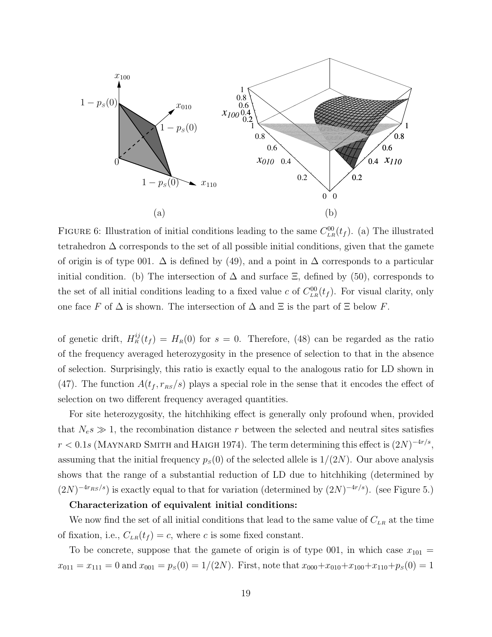

FIGURE 6: Illustration of initial conditions leading to the same  $C_{LR}^{00}(t_f)$ . (a) The illustrated tetrahedron  $\Delta$  corresponds to the set of all possible initial conditions, given that the gamete of origin is of type 001.  $\Delta$  is defined by (49), and a point in  $\Delta$  corresponds to a particular initial condition. (b) The intersection of  $\Delta$  and surface  $\Xi$ , defined by (50), corresponds to the set of all initial conditions leading to a fixed value c of  $C_{LR}^{00}(t_f)$ . For visual clarity, only one face F of  $\Delta$  is shown. The intersection of  $\Delta$  and  $\Xi$  is the part of  $\Xi$  below F.

of genetic drift,  $H_R^{ij}(t_f) = H_R(0)$  for  $s = 0$ . Therefore, (48) can be regarded as the ratio of the frequency averaged heterozygosity in the presence of selection to that in the absence of selection. Surprisingly, this ratio is exactly equal to the analogous ratio for LD shown in (47). The function  $A(t_f, r_{RS}/s)$  plays a special role in the sense that it encodes the effect of selection on two different frequency averaged quantities.

For site heterozygosity, the hitchhiking effect is generally only profound when, provided that  $N_e s \gg 1$ , the recombination distance r between the selected and neutral sites satisfies  $r < 0.1s$  (MAYNARD SMITH and HAIGH 1974). The term determining this effect is  $(2N)^{-4r/s}$ , assuming that the initial frequency  $p<sub>s</sub>(0)$  of the selected allele is  $1/(2N)$ . Our above analysis shows that the range of a substantial reduction of LD due to hitchhiking (determined by  $(2N)^{-4r_{RS}/s}$ ) is exactly equal to that for variation (determined by  $(2N)^{-4r/s}$ ). (see Figure 5.)

# Characterization of equivalent initial conditions:

We now find the set of all initial conditions that lead to the same value of  $C_{LR}$  at the time of fixation, i.e.,  $C_{LR}(t_f) = c$ , where c is some fixed constant.

To be concrete, suppose that the gamete of origin is of type 001, in which case  $x_{101} =$  $x_{011} = x_{111} = 0$  and  $x_{001} = p_s(0) = 1/(2N)$ . First, note that  $x_{000} + x_{010} + x_{100} + x_{110} + p_s(0) = 1$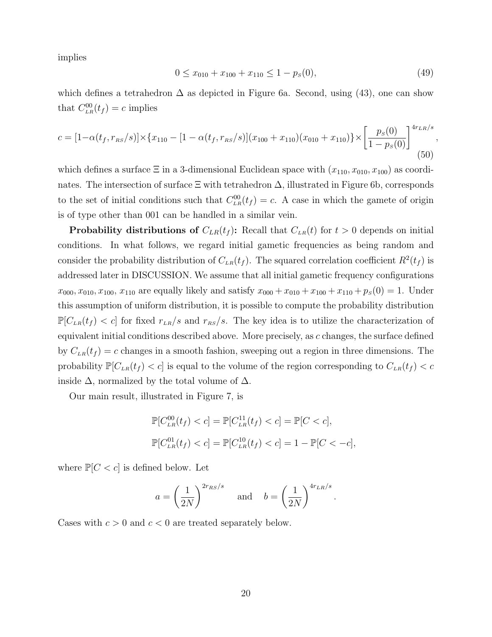implies

$$
0 \le x_{010} + x_{100} + x_{110} \le 1 - p_s(0), \tag{49}
$$

,

which defines a tetrahedron  $\Delta$  as depicted in Figure 6a. Second, using (43), one can show that  $C_{LR}^{00}(t_f) = c$  implies

$$
c = [1 - \alpha(t_f, r_{RS}/s)] \times \{x_{110} - [1 - \alpha(t_f, r_{RS}/s)](x_{100} + x_{110})(x_{010} + x_{110})\} \times \left[\frac{p_s(0)}{1 - p_s(0)}\right]^{4r_{LR}/s}
$$
(50)

which defines a surface  $\Xi$  in a 3-dimensional Euclidean space with  $(x_{110}, x_{010}, x_{100})$  as coordinates. The intersection of surface  $\Xi$  with tetrahedron  $\Delta$ , illustrated in Figure 6b, corresponds to the set of initial conditions such that  $C_{LR}^{00}(t_f) = c$ . A case in which the gamete of origin is of type other than 001 can be handled in a similar vein.

**Probability distributions of**  $C_{LR}(t_f)$ : Recall that  $C_{LR}(t)$  for  $t > 0$  depends on initial conditions. In what follows, we regard initial gametic frequencies as being random and consider the probability distribution of  $C_{LR}(t_f)$ . The squared correlation coefficient  $R^2(t_f)$  is addressed later in DISCUSSION. We assume that all initial gametic frequency configurations  $x_{000}, x_{010}, x_{100}, x_{110}$  are equally likely and satisfy  $x_{000} + x_{010} + x_{100} + x_{110} + p_s(0) = 1$ . Under this assumption of uniform distribution, it is possible to compute the probability distribution  $\mathbb{P}[C_{LR}(t_f) < c]$  for fixed  $r_{LR}/s$  and  $r_{RS}/s$ . The key idea is to utilize the characterization of equivalent initial conditions described above. More precisely, as c changes, the surface defined by  $C_{LR}(t_f) = c$  changes in a smooth fashion, sweeping out a region in three dimensions. The probability  $\mathbb{P}[C_{LR}(t_f) < c]$  is equal to the volume of the region corresponding to  $C_{LR}(t_f) < c$ inside  $\Delta$ , normalized by the total volume of  $\Delta$ .

Our main result, illustrated in Figure 7, is

$$
\mathbb{P}[C_{LR}^{00}(t_f) < c] = \mathbb{P}[C_{LR}^{11}(t_f) < c] = \mathbb{P}[C < c],
$$
\n
$$
\mathbb{P}[C_{LR}^{01}(t_f) < c] = \mathbb{P}[C_{LR}^{10}(t_f) < c] = 1 - \mathbb{P}[C < -c],
$$

where  $\mathbb{P}[C < c]$  is defined below. Let

$$
a = \left(\frac{1}{2N}\right)^{2r_{RS}/s}
$$
 and  $b = \left(\frac{1}{2N}\right)^{4r_{LR}/s}$ .

Cases with  $c > 0$  and  $c < 0$  are treated separately below.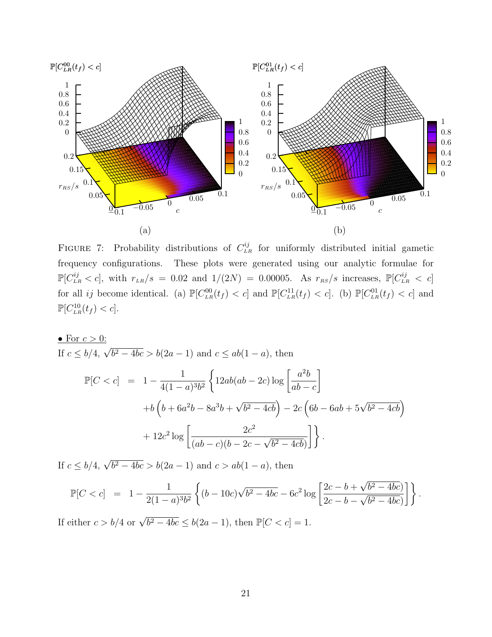

FIGURE 7: Probability distributions of  $C_{LR}^{ij}$  for uniformly distributed initial gametic frequency configurations. These plots were generated using our analytic formulae for  $\mathbb{P}[C_{LR}^{ij} < c]$ , with  $r_{LR}/s = 0.02$  and  $1/(2N) = 0.00005$ . As  $r_{RS}/s$  increases,  $\mathbb{P}[C_{LR}^{ij} < c]$ for all *ij* become identical. (a)  $\mathbb{P}[C_{LR}^{00}(t_f) < c]$  and  $\mathbb{P}[C_{LR}^{11}(t_f) < c]$ . (b)  $\mathbb{P}[C_{LR}^{01}(t_f) < c]$  and  $\mathbb{P}[C_{LR}^{10}(t_f) < c].$ 

• For 
$$
c > 0
$$
:  
\nIf  $c \le b/4$ ,  $\sqrt{b^2 - 4bc} > b(2a - 1)$  and  $c \le ab(1 - a)$ , then  
\n
$$
\mathbb{P}[C < c] = 1 - \frac{1}{4(1 - a)^3 b^2} \left\{ 12ab(ab - 2c) \log \left[ \frac{a^2 b}{ab - c} \right] + b \left( b + 6a^2 b - 8a^3 b + \sqrt{b^2 - 4cb} \right) - 2c \left( 6b - 6ab + 5\sqrt{b^2 - 4cb} \right) + 12c^2 \log \left[ \frac{2c^2}{(ab - c)(b - 2c - \sqrt{b^2 - 4cb})} \right] \right\}.
$$

If  $c \le b/4$ ,  $\sqrt{b^2 - 4bc} > b(2a - 1)$  and  $c > ab(1 - a)$ , then

$$
\mathbb{P}[C < c] = 1 - \frac{1}{2(1-a)^3 b^2} \left\{ (b - 10c)\sqrt{b^2 - 4bc} - 6c^2 \log \left[ \frac{2c - b + \sqrt{b^2 - 4bc}}{2c - b - \sqrt{b^2 - 4bc}} \right] \right\}.
$$

If either  $c > b/4$  or  $\sqrt{b^2 - 4bc} \le b(2a - 1)$ , then  $\mathbb{P}[C < c] = 1$ .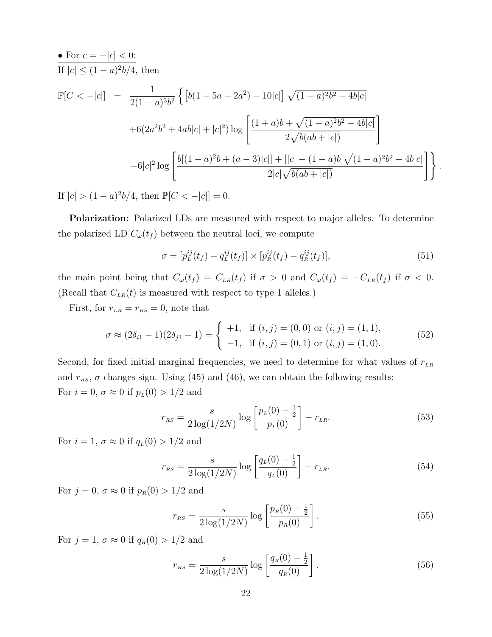• For 
$$
c = -|c| < 0
$$
:  
\nIf  $|c| \le (1 - a)^2 b/4$ , then  
\n
$$
\mathbb{P}[C < -|c|] = \frac{1}{2(1 - a)^3 b^2} \left\{ \left[ b(1 - 5a - 2a^2) - 10|c| \right] \sqrt{(1 - a)^2 b^2 - 4b|c|} + 6(2a^2b^2 + 4ab|c| + |c|^2) \log \left[ \frac{(1 + a)b + \sqrt{(1 - a)^2 b^2 - 4b|c|}}{2\sqrt{b(ab + |c|)}} \right] - 6|c|^2 \log \left[ \frac{b[(1 - a)^2b + (a - 3)|c|] + [|c| - (1 - a)b] \sqrt{(1 - a)^2 b^2 - 4b|c|}}{2|c| \sqrt{b(ab + |c|)}} \right] \right\}.
$$

If  $|c| > (1 - a)^2 b/4$ , then  $\mathbb{P}[C < -|c|] = 0$ .

Polarization: Polarized LDs are measured with respect to major alleles. To determine the polarized LD  $C_{\omega}(t_f)$  between the neutral loci, we compute

$$
\sigma = [p_L^{ij}(t_f) - q_L^{ij}(t_f)] \times [p_R^{ij}(t_f) - q_R^{ij}(t_f)],\tag{51}
$$

the main point being that  $C_{\omega}(t_f) = C_{LR}(t_f)$  if  $\sigma > 0$  and  $C_{\omega}(t_f) = -C_{LR}(t_f)$  if  $\sigma < 0$ . (Recall that  $C_{LR}(t)$  is measured with respect to type 1 alleles.)

First, for  $r_{LR} = r_{RS} = 0$ , note that

$$
\sigma \approx (2\delta_{i1} - 1)(2\delta_{j1} - 1) = \begin{cases} +1, & \text{if } (i,j) = (0,0) \text{ or } (i,j) = (1,1), \\ -1, & \text{if } (i,j) = (0,1) \text{ or } (i,j) = (1,0). \end{cases}
$$
(52)

Second, for fixed initial marginal frequencies, we need to determine for what values of  $r_{LR}$ and  $r_{RS}$ ,  $\sigma$  changes sign. Using (45) and (46), we can obtain the following results: For  $i = 0$ ,  $\sigma \approx 0$  if  $p_L(0) > 1/2$  and

$$
r_{RS} = \frac{s}{2\log(1/2N)}\log\left[\frac{p_L(0) - \frac{1}{2}}{p_L(0)}\right] - r_{LR}.\tag{53}
$$

For  $i = 1$ ,  $\sigma \approx 0$  if  $q_L(0) > 1/2$  and

$$
r_{RS} = \frac{s}{2\log(1/2N)}\log\left[\frac{q_L(0) - \frac{1}{2}}{q_L(0)}\right] - r_{LR}.\tag{54}
$$

For  $j = 0$ ,  $\sigma \approx 0$  if  $p_R(0) > 1/2$  and

$$
r_{RS} = \frac{s}{2\log(1/2N)} \log\left[\frac{p_R(0) - \frac{1}{2}}{p_R(0)}\right].
$$
 (55)

For  $j = 1$ ,  $\sigma \approx 0$  if  $q_R(0) > 1/2$  and

$$
r_{RS} = \frac{s}{2\log(1/2N)}\log\left[\frac{q_R(0) - \frac{1}{2}}{q_R(0)}\right].
$$
 (56)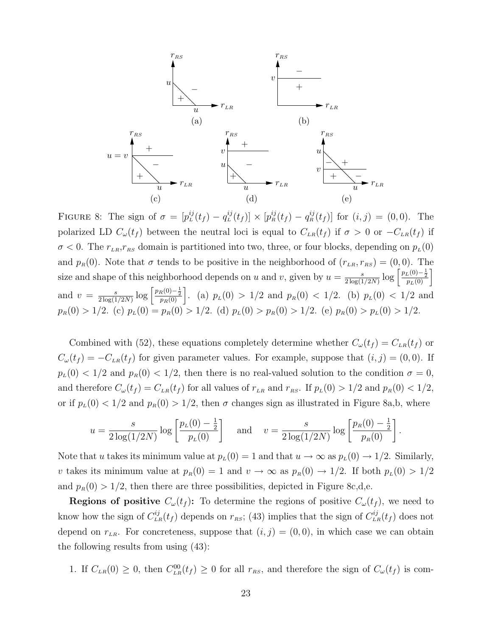

FIGURE 8: The sign of  $\sigma = [p_L^{ij}(t_f) - q_L^{ij}(t_f)] \times [p_R^{ij}(t_f) - q_R^{ij}(t_f)]$  for  $(i, j) = (0, 0)$ . The polarized LD  $C_{\omega}(t_f)$  between the neutral loci is equal to  $C_{LR}(t_f)$  if  $\sigma > 0$  or  $-C_{LR}(t_f)$  if  $\sigma$  < 0. The  $r_{LR},r_{RS}$  domain is partitioned into two, three, or four blocks, depending on  $p_L(0)$ and  $p_R(0)$ . Note that  $\sigma$  tends to be positive in the neighborhood of  $(r_{LR}, r_{RS}) = (0, 0)$ . The size and shape of this neighborhood depends on u and v, given by  $u = \frac{s}{2 \log(1)}$  $\frac{s}{2\log(1/2N)}\log\left[\frac{p_L(0)-\frac{1}{2}}{p_L(0)}\right]$ and  $v = \frac{s}{2 \log(1)}$  $\frac{s}{2\log(1/2N)}\log\left[\frac{p_R(0)-\frac{1}{2}}{p_R(0)}\right]$ . (a)  $p_L(0) > 1/2$  and  $p_R(0) < 1/2$ . (b)  $p_L(0) < 1/2$  and  $p_R(0) > 1/2.$  (c)  $p_L(0) = p_R(0) > 1/2.$  (d)  $p_L(0) > p_R(0) > 1/2.$  (e)  $p_R(0) > p_L(0) > 1/2.$ 

Combined with (52), these equations completely determine whether  $C_{\omega}(t_f) = C_{LR}(t_f)$  or  $C_{\omega}(t_f) = -C_{LR}(t_f)$  for given parameter values. For example, suppose that  $(i, j) = (0, 0)$ . If  $p_L(0) < 1/2$  and  $p_R(0) < 1/2$ , then there is no real-valued solution to the condition  $\sigma = 0$ , and therefore  $C_{\omega}(t_f) = C_{LR}(t_f)$  for all values of  $r_{LR}$  and  $r_{RS}$ . If  $p_L(0) > 1/2$  and  $p_R(0) < 1/2$ , or if  $p_L(0) < 1/2$  and  $p_R(0) > 1/2$ , then  $\sigma$  changes sign as illustrated in Figure 8a,b, where

$$
u = \frac{s}{2\log(1/2N)} \log\left[\frac{p_L(0) - \frac{1}{2}}{p_L(0)}\right] \quad \text{and} \quad v = \frac{s}{2\log(1/2N)} \log\left[\frac{p_R(0) - \frac{1}{2}}{p_R(0)}\right]
$$

.

Note that u takes its minimum value at  $p_L(0) = 1$  and that  $u \to \infty$  as  $p_L(0) \to 1/2$ . Similarly, v takes its minimum value at  $p_R(0) = 1$  and  $v \to \infty$  as  $p_R(0) \to 1/2$ . If both  $p_L(0) > 1/2$ and  $p_R(0) > 1/2$ , then there are three possibilities, depicted in Figure 8c,d,e.

**Regions of positive**  $C_{\omega}(t_f)$ : To determine the regions of positive  $C_{\omega}(t_f)$ , we need to know how the sign of  $C_{LR}^{ij}(t_f)$  depends on  $r_{RS}$ ; (43) implies that the sign of  $C_{LR}^{ij}(t_f)$  does not depend on  $r_{LR}$ . For concreteness, suppose that  $(i, j) = (0, 0)$ , in which case we can obtain the following results from using (43):

1. If  $C_{LR}(0) \geq 0$ , then  $C_{LR}^{00}(t_f) \geq 0$  for all  $r_{RS}$ , and therefore the sign of  $C_{\omega}(t_f)$  is com-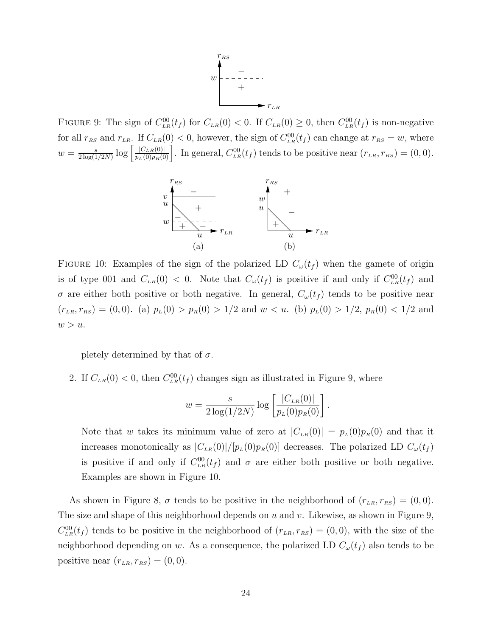

FIGURE 9: The sign of  $C_{LR}^{00}(t_f)$  for  $C_{LR}(0) < 0$ . If  $C_{LR}(0) \geq 0$ , then  $C_{LR}^{00}(t_f)$  is non-negative for all  $r_{RS}$  and  $r_{LR}$ . If  $C_{LR}(0) < 0$ , however, the sign of  $C_{LR}^{00}(t_f)$  can change at  $r_{RS} = w$ , where  $w = \frac{s}{2 \log(1)}$  $\frac{s}{2\log(1/2N)}\log\left[\frac{|C_{LR}(0)|}{p_L(0)p_R(0)}\right]$ . In general,  $C_{LR}^{00}(t_f)$  tends to be positive near  $(r_{LR}, r_{RS}) = (0, 0)$ .



FIGURE 10: Examples of the sign of the polarized LD  $C_{\omega}(t_f)$  when the gamete of origin is of type 001 and  $C_{LR}(0) < 0$ . Note that  $C_{\omega}(t_f)$  is positive if and only if  $C_{LR}^{00}(t_f)$  and  $\sigma$  are either both positive or both negative. In general,  $C_{\omega}(t_f)$  tends to be positive near  $(r_{LR}, r_{RS}) = (0, 0)$ . (a)  $p_L(0) > p_R(0) > 1/2$  and  $w < u$ . (b)  $p_L(0) > 1/2$ ,  $p_R(0) < 1/2$  and  $w > u$ .

pletely determined by that of  $\sigma$ .

2. If  $C_{LR}(0) < 0$ , then  $C_{LR}^{00}(t_f)$  changes sign as illustrated in Figure 9, where

$$
w = \frac{s}{2\log(1/2N)}\log\left[\frac{|C_{LR}(0)|}{p_L(0)p_R(0)}\right]
$$

.

Note that w takes its minimum value of zero at  $|C_{LR}(0)| = p_L(0)p_R(0)$  and that it increases monotonically as  $|C_{LR}(0)|/[p_L(0)p_R(0)]$  decreases. The polarized LD  $C_{\omega}(t_f)$ is positive if and only if  $C_{LR}^{00}(t_f)$  and  $\sigma$  are either both positive or both negative. Examples are shown in Figure 10.

As shown in Figure 8,  $\sigma$  tends to be positive in the neighborhood of  $(r_{LR}, r_{RS}) = (0, 0)$ . The size and shape of this neighborhood depends on  $u$  and  $v$ . Likewise, as shown in Figure 9,  $C_{LR}^{00}(t_f)$  tends to be positive in the neighborhood of  $(r_{LR}, r_{RS}) = (0, 0)$ , with the size of the neighborhood depending on w. As a consequence, the polarized LD  $C_{\omega}(t_f)$  also tends to be positive near  $(r_{LR}, r_{RS}) = (0, 0).$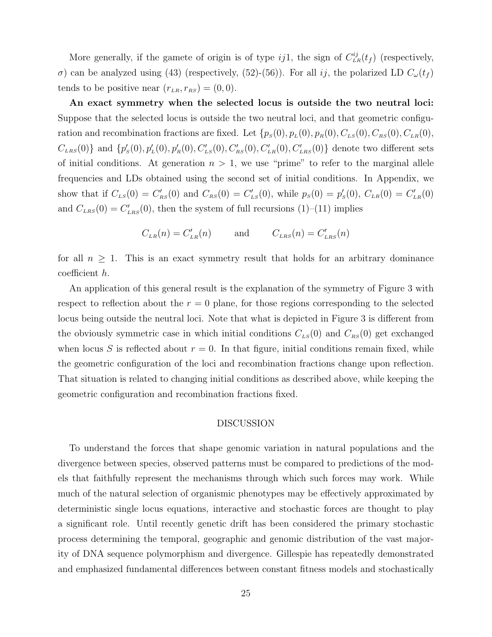More generally, if the gamete of origin is of type ij1, the sign of  $C_{LR}^{ij}(t_f)$  (respectively, σ) can be analyzed using (43) (respectively, (52)-(56)). For all *ij*, the polarized LD  $C_{\omega}(t_f)$ tends to be positive near  $(r_{LR}, r_{RS}) = (0, 0)$ .

An exact symmetry when the selected locus is outside the two neutral loci: Suppose that the selected locus is outside the two neutral loci, and that geometric configuration and recombination fractions are fixed. Let  $\{p_S(0), p_L(0), p_R(0), C_{LS}(0), C_{RS}(0), C_{LR}(0),\}$  $C_{LRS}(0)$ } and  $\{p'_{S}(0), p'_{L}(0), p'_{R}(0), C'_{LS}(0), C'_{RS}(0), C'_{LR}(0), C'_{LRS}(0)\}\$  denote two different sets of initial conditions. At generation  $n > 1$ , we use "prime" to refer to the marginal allele frequencies and LDs obtained using the second set of initial conditions. In Appendix, we show that if  $C_{LS}(0) = C'_{RS}(0)$  and  $C_{RS}(0) = C'_{LS}(0)$ , while  $p_S(0) = p'_S(0)$ ,  $C_{LR}(0) = C'_{LR}(0)$ and  $C_{LRS}(0) = C'_{LRS}(0)$ , then the system of full recursions (1)–(11) implies

$$
C_{LR}(n) = C'_{LR}(n) \qquad \text{and} \qquad C_{LRS}(n) = C'_{LRS}(n)
$$

for all  $n \geq 1$ . This is an exact symmetry result that holds for an arbitrary dominance coefficient h.

An application of this general result is the explanation of the symmetry of Figure 3 with respect to reflection about the  $r = 0$  plane, for those regions corresponding to the selected locus being outside the neutral loci. Note that what is depicted in Figure 3 is different from the obviously symmetric case in which initial conditions  $C_{LS}(0)$  and  $C_{RS}(0)$  get exchanged when locus S is reflected about  $r = 0$ . In that figure, initial conditions remain fixed, while the geometric configuration of the loci and recombination fractions change upon reflection. That situation is related to changing initial conditions as described above, while keeping the geometric configuration and recombination fractions fixed.

#### DISCUSSION

To understand the forces that shape genomic variation in natural populations and the divergence between species, observed patterns must be compared to predictions of the models that faithfully represent the mechanisms through which such forces may work. While much of the natural selection of organismic phenotypes may be effectively approximated by deterministic single locus equations, interactive and stochastic forces are thought to play a significant role. Until recently genetic drift has been considered the primary stochastic process determining the temporal, geographic and genomic distribution of the vast majority of DNA sequence polymorphism and divergence. Gillespie has repeatedly demonstrated and emphasized fundamental differences between constant fitness models and stochastically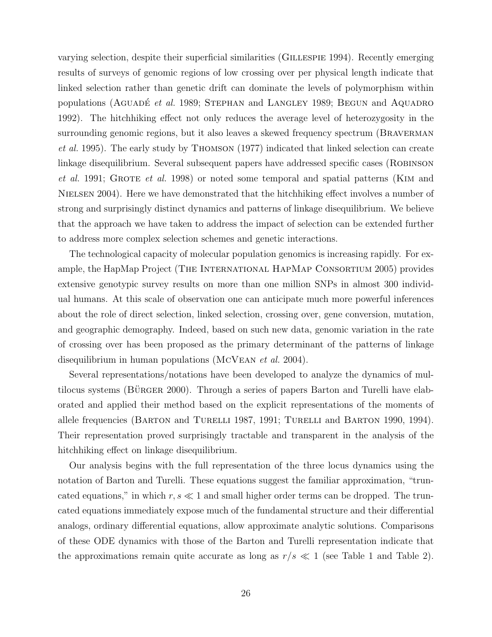varying selection, despite their superficial similarities (Gillespie 1994). Recently emerging results of surveys of genomic regions of low crossing over per physical length indicate that linked selection rather than genetic drift can dominate the levels of polymorphism within populations (AGUADE $et$  al. 1989; STEPHAN and LANGLEY 1989; BEGUN and AQUADRO 1992). The hitchhiking effect not only reduces the average level of heterozygosity in the surrounding genomic regions, but it also leaves a skewed frequency spectrum (BRAVERMAN et al. 1995). The early study by Thomson (1977) indicated that linked selection can create linkage disequilibrium. Several subsequent papers have addressed specific cases (ROBINSON et al. 1991; GROTE et al. 1998) or noted some temporal and spatial patterns (KIM and NIELSEN 2004). Here we have demonstrated that the hitchhiking effect involves a number of strong and surprisingly distinct dynamics and patterns of linkage disequilibrium. We believe that the approach we have taken to address the impact of selection can be extended further to address more complex selection schemes and genetic interactions.

The technological capacity of molecular population genomics is increasing rapidly. For example, the HapMap Project (The International HapMap Consortium 2005) provides extensive genotypic survey results on more than one million SNPs in almost 300 individual humans. At this scale of observation one can anticipate much more powerful inferences about the role of direct selection, linked selection, crossing over, gene conversion, mutation, and geographic demography. Indeed, based on such new data, genomic variation in the rate of crossing over has been proposed as the primary determinant of the patterns of linkage disequilibrium in human populations (MCVEAN *et al.* 2004).

Several representations/notations have been developed to analyze the dynamics of multilocus systems ( $B\ddot{\text{u}}$ RGER 2000). Through a series of papers Barton and Turelli have elaborated and applied their method based on the explicit representations of the moments of allele frequencies (BARTON and TURELLI 1987, 1991; TURELLI and BARTON 1990, 1994). Their representation proved surprisingly tractable and transparent in the analysis of the hitchhiking effect on linkage disequilibrium.

Our analysis begins with the full representation of the three locus dynamics using the notation of Barton and Turelli. These equations suggest the familiar approximation, "truncated equations," in which  $r, s \ll 1$  and small higher order terms can be dropped. The truncated equations immediately expose much of the fundamental structure and their differential analogs, ordinary differential equations, allow approximate analytic solutions. Comparisons of these ODE dynamics with those of the Barton and Turelli representation indicate that the approximations remain quite accurate as long as  $r/s \ll 1$  (see Table 1 and Table 2).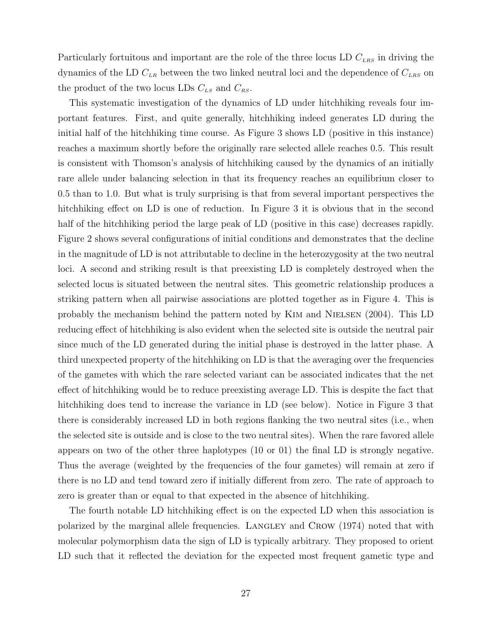Particularly fortuitous and important are the role of the three locus LD  $C_{LRS}$  in driving the dynamics of the LD  $C_{LR}$  between the two linked neutral loci and the dependence of  $C_{LRS}$  on the product of the two locus LDs  $C_{LS}$  and  $C_{RS}$ .

This systematic investigation of the dynamics of LD under hitchhiking reveals four important features. First, and quite generally, hitchhiking indeed generates LD during the initial half of the hitchhiking time course. As Figure 3 shows LD (positive in this instance) reaches a maximum shortly before the originally rare selected allele reaches 0.5. This result is consistent with Thomson's analysis of hitchhiking caused by the dynamics of an initially rare allele under balancing selection in that its frequency reaches an equilibrium closer to 0.5 than to 1.0. But what is truly surprising is that from several important perspectives the hitchhiking effect on LD is one of reduction. In Figure 3 it is obvious that in the second half of the hitchhiking period the large peak of LD (positive in this case) decreases rapidly. Figure 2 shows several configurations of initial conditions and demonstrates that the decline in the magnitude of LD is not attributable to decline in the heterozygosity at the two neutral loci. A second and striking result is that preexisting LD is completely destroyed when the selected locus is situated between the neutral sites. This geometric relationship produces a striking pattern when all pairwise associations are plotted together as in Figure 4. This is probably the mechanism behind the pattern noted by Kim and Nielsen (2004). This LD reducing effect of hitchhiking is also evident when the selected site is outside the neutral pair since much of the LD generated during the initial phase is destroyed in the latter phase. A third unexpected property of the hitchhiking on LD is that the averaging over the frequencies of the gametes with which the rare selected variant can be associated indicates that the net effect of hitchhiking would be to reduce preexisting average LD. This is despite the fact that hitchhiking does tend to increase the variance in LD (see below). Notice in Figure 3 that there is considerably increased LD in both regions flanking the two neutral sites (i.e., when the selected site is outside and is close to the two neutral sites). When the rare favored allele appears on two of the other three haplotypes (10 or 01) the final LD is strongly negative. Thus the average (weighted by the frequencies of the four gametes) will remain at zero if there is no LD and tend toward zero if initially different from zero. The rate of approach to zero is greater than or equal to that expected in the absence of hitchhiking.

The fourth notable LD hitchhiking effect is on the expected LD when this association is polarized by the marginal allele frequencies. LANGLEY and CROW (1974) noted that with molecular polymorphism data the sign of LD is typically arbitrary. They proposed to orient LD such that it reflected the deviation for the expected most frequent gametic type and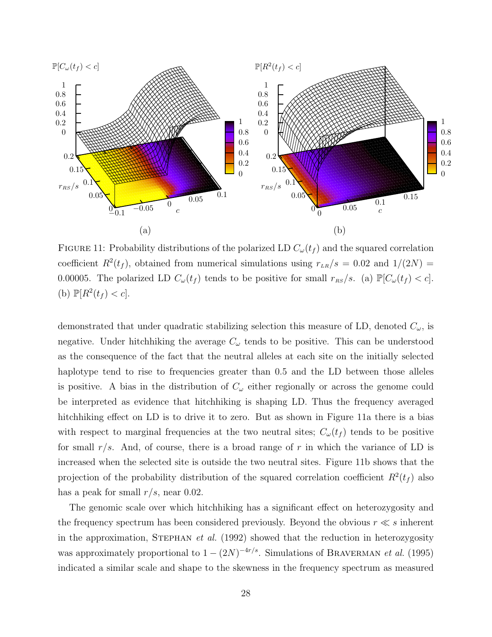

FIGURE 11: Probability distributions of the polarized LD  $C_{\omega}(t_f)$  and the squared correlation coefficient  $R^2(t_f)$ , obtained from numerical simulations using  $r_{LR}/s = 0.02$  and  $1/(2N) =$ 0.00005. The polarized LD  $C_{\omega}(t_f)$  tends to be positive for small  $r_{RS}/s$ . (a)  $\mathbb{P}[C_{\omega}(t_f) < c]$ . (b)  $\mathbb{P}[R^2(t_f) < c].$ 

demonstrated that under quadratic stabilizing selection this measure of LD, denoted  $C_{\omega}$ , is negative. Under hitch hiking the average  $C_{\omega}$  tends to be positive. This can be understood as the consequence of the fact that the neutral alleles at each site on the initially selected haplotype tend to rise to frequencies greater than 0.5 and the LD between those alleles is positive. A bias in the distribution of  $C_{\omega}$  either regionally or across the genome could be interpreted as evidence that hitchhiking is shaping LD. Thus the frequency averaged hitchhiking effect on LD is to drive it to zero. But as shown in Figure 11a there is a bias with respect to marginal frequencies at the two neutral sites;  $C_{\omega}(t_f)$  tends to be positive for small  $r/s$ . And, of course, there is a broad range of r in which the variance of LD is increased when the selected site is outside the two neutral sites. Figure 11b shows that the projection of the probability distribution of the squared correlation coefficient  $R^2(t_f)$  also has a peak for small  $r/s$ , near 0.02.

The genomic scale over which hitchhiking has a significant effect on heterozygosity and the frequency spectrum has been considered previously. Beyond the obvious  $r \ll s$  inherent in the approximation, STEPHAN et al.  $(1992)$  showed that the reduction in heterozygosity was approximately proportional to  $1 - (2N)^{-4r/s}$ . Simulations of BRAVERMAN *et al.* (1995) indicated a similar scale and shape to the skewness in the frequency spectrum as measured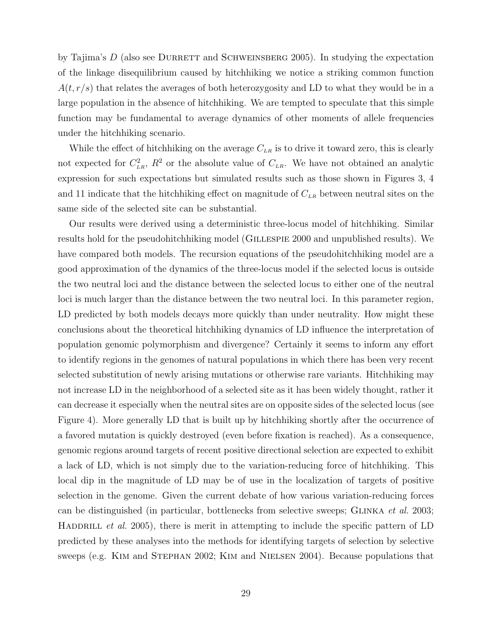by Tajima's  $D$  (also see DURRETT and SCHWEINSBERG 2005). In studying the expectation of the linkage disequilibrium caused by hitchhiking we notice a striking common function  $A(t, r/s)$  that relates the averages of both heterozygosity and LD to what they would be in a large population in the absence of hitchhiking. We are tempted to speculate that this simple function may be fundamental to average dynamics of other moments of allele frequencies under the hitchhiking scenario.

While the effect of hitchhiking on the average  $C_{LR}$  is to drive it toward zero, this is clearly not expected for  $C_{LR}^2$ ,  $R^2$  or the absolute value of  $C_{LR}$ . We have not obtained an analytic expression for such expectations but simulated results such as those shown in Figures 3, 4 and 11 indicate that the hitchhiking effect on magnitude of  $C_{LR}$  between neutral sites on the same side of the selected site can be substantial.

Our results were derived using a deterministic three-locus model of hitchhiking. Similar results hold for the pseudohitchhiking model (GILLESPIE 2000 and unpublished results). We have compared both models. The recursion equations of the pseudohitchhiking model are a good approximation of the dynamics of the three-locus model if the selected locus is outside the two neutral loci and the distance between the selected locus to either one of the neutral loci is much larger than the distance between the two neutral loci. In this parameter region, LD predicted by both models decays more quickly than under neutrality. How might these conclusions about the theoretical hitchhiking dynamics of LD influence the interpretation of population genomic polymorphism and divergence? Certainly it seems to inform any effort to identify regions in the genomes of natural populations in which there has been very recent selected substitution of newly arising mutations or otherwise rare variants. Hitchhiking may not increase LD in the neighborhood of a selected site as it has been widely thought, rather it can decrease it especially when the neutral sites are on opposite sides of the selected locus (see Figure 4). More generally LD that is built up by hitchhiking shortly after the occurrence of a favored mutation is quickly destroyed (even before fixation is reached). As a consequence, genomic regions around targets of recent positive directional selection are expected to exhibit a lack of LD, which is not simply due to the variation-reducing force of hitchhiking. This local dip in the magnitude of LD may be of use in the localization of targets of positive selection in the genome. Given the current debate of how various variation-reducing forces can be distinguished (in particular, bottlenecks from selective sweeps; GLINKA *et al.* 2003; HADDRILL *et al.* 2005), there is merit in attempting to include the specific pattern of LD predicted by these analyses into the methods for identifying targets of selection by selective sweeps (e.g. Kim and Stephan 2002; Kim and Nielsen 2004). Because populations that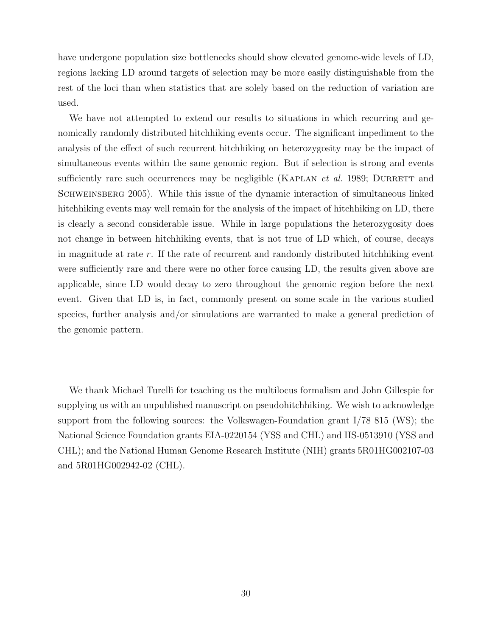have undergone population size bottlenecks should show elevated genome-wide levels of LD, regions lacking LD around targets of selection may be more easily distinguishable from the rest of the loci than when statistics that are solely based on the reduction of variation are used.

We have not attempted to extend our results to situations in which recurring and genomically randomly distributed hitchhiking events occur. The significant impediment to the analysis of the effect of such recurrent hitchhiking on heterozygosity may be the impact of simultaneous events within the same genomic region. But if selection is strong and events sufficiently rare such occurrences may be negligible (KAPLAN *et al.* 1989; DURRETT and SCHWEINSBERG 2005). While this issue of the dynamic interaction of simultaneous linked hitchhiking events may well remain for the analysis of the impact of hitchhiking on LD, there is clearly a second considerable issue. While in large populations the heterozygosity does not change in between hitchhiking events, that is not true of LD which, of course, decays in magnitude at rate r. If the rate of recurrent and randomly distributed hitchhiking event were sufficiently rare and there were no other force causing LD, the results given above are applicable, since LD would decay to zero throughout the genomic region before the next event. Given that LD is, in fact, commonly present on some scale in the various studied species, further analysis and/or simulations are warranted to make a general prediction of the genomic pattern.

We thank Michael Turelli for teaching us the multilocus formalism and John Gillespie for supplying us with an unpublished manuscript on pseudohitchhiking. We wish to acknowledge support from the following sources: the Volkswagen-Foundation grant I/78 815 (WS); the National Science Foundation grants EIA-0220154 (YSS and CHL) and IIS-0513910 (YSS and CHL); and the National Human Genome Research Institute (NIH) grants 5R01HG002107-03 and 5R01HG002942-02 (CHL).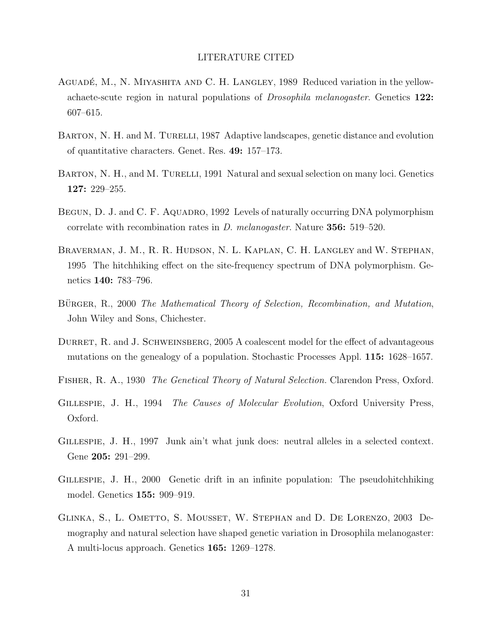# LITERATURE CITED

- AGUADÉ, M., N. MIYASHITA AND C. H. LANGLEY, 1989 Reduced variation in the yellowachaete-scute region in natural populations of Drosophila melanogaster. Genetics 122: 607–615.
- BARTON, N. H. and M. TURELLI, 1987 Adaptive landscapes, genetic distance and evolution of quantitative characters. Genet. Res. 49: 157–173.
- BARTON, N. H., and M. TURELLI, 1991 Natural and sexual selection on many loci. Genetics 127: 229–255.
- BEGUN, D. J. and C. F. AQUADRO, 1992 Levels of naturally occurring DNA polymorphism correlate with recombination rates in D. melanogaster. Nature 356: 519–520.
- Braverman, J. M., R. R. Hudson, N. L. Kaplan, C. H. Langley and W. Stephan, 1995 The hitchhiking effect on the site-frequency spectrum of DNA polymorphism. Genetics 140: 783–796.
- BÜRGER, R., 2000 The Mathematical Theory of Selection, Recombination, and Mutation, John Wiley and Sons, Chichester.
- DURRET, R. and J. SCHWEINSBERG, 2005 A coalescent model for the effect of advantageous mutations on the genealogy of a population. Stochastic Processes Appl. 115: 1628–1657.
- Fisher, R. A., 1930 The Genetical Theory of Natural Selection. Clarendon Press, Oxford.
- GILLESPIE, J. H., 1994 The Causes of Molecular Evolution, Oxford University Press, Oxford.
- GILLESPIE, J. H., 1997 Junk ain't what junk does: neutral alleles in a selected context. Gene 205: 291–299.
- Gillespie, J. H., 2000 Genetic drift in an infinite population: The pseudohitchhiking model. Genetics 155: 909–919.
- Glinka, S., L. Ometto, S. Mousset, W. Stephan and D. De Lorenzo, 2003 Demography and natural selection have shaped genetic variation in Drosophila melanogaster: A multi-locus approach. Genetics 165: 1269–1278.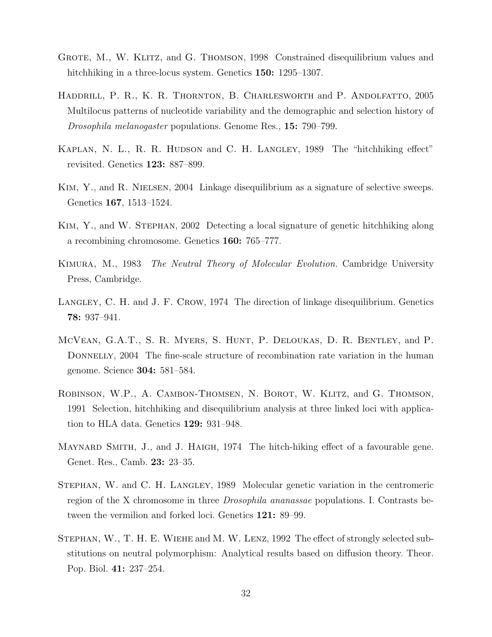- Grote, M., W. Klitz, and G. Thomson, 1998 Constrained disequilibrium values and hitchhiking in a three-locus system. Genetics 150: 1295–1307.
- HADDRILL, P. R., K. R. THORNTON, B. CHARLESWORTH and P. ANDOLFATTO, 2005 Multilocus patterns of nucleotide variability and the demographic and selection history of Drosophila melanogaster populations. Genome Res., 15: 790–799.
- KAPLAN, N. L., R. R. HUDSON and C. H. LANGLEY, 1989 The "hitchhiking effect" revisited. Genetics 123: 887–899.
- KIM, Y., and R. NIELSEN, 2004 Linkage disequilibrium as a signature of selective sweeps. Genetics 167, 1513–1524.
- Kim, Y., and W. Stephan, 2002 Detecting a local signature of genetic hitchhiking along a recombining chromosome. Genetics 160: 765–777.
- Kimura, M., 1983 The Neutral Theory of Molecular Evolution. Cambridge University Press, Cambridge.
- LANGLEY, C. H. and J. F. CROW, 1974 The direction of linkage disequilibrium. Genetics 78: 937–941.
- McVean, G.A.T., S. R. Myers, S. Hunt, P. Deloukas, D. R. Bentley, and P. DONNELLY, 2004 The fine-scale structure of recombination rate variation in the human genome. Science 304: 581–584.
- Robinson, W.P., A. Cambon-Thomsen, N. Borot, W. Klitz, and G. Thomson, 1991 Selection, hitchhiking and disequilibrium analysis at three linked loci with application to HLA data. Genetics 129: 931–948.
- MAYNARD SMITH, J., and J. HAIGH, 1974 The hitch-hiking effect of a favourable gene. Genet. Res., Camb. 23: 23–35.
- Stephan, W. and C. H. Langley, 1989 Molecular genetic variation in the centromeric region of the X chromosome in three Drosophila ananassae populations. I. Contrasts between the vermilion and forked loci. Genetics 121: 89–99.
- Stephan, W., T. H. E. Wiehe and M. W. Lenz, 1992 The effect of strongly selected substitutions on neutral polymorphism: Analytical results based on diffusion theory. Theor. Pop. Biol. 41: 237–254.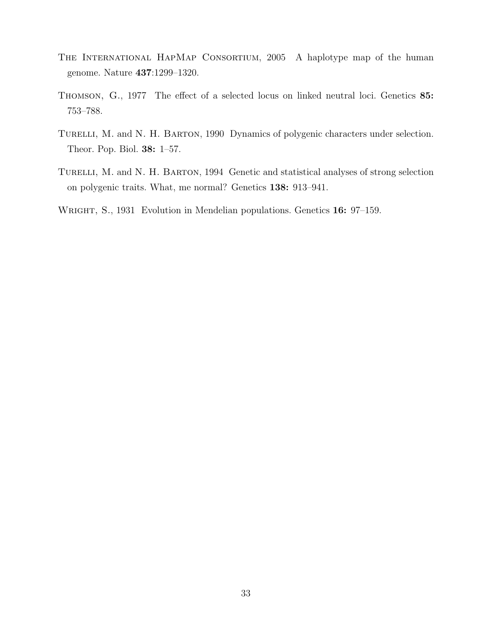- The International HapMap Consortium, 2005 A haplotype map of the human genome. Nature 437:1299–1320.
- Thomson, G., 1977 The effect of a selected locus on linked neutral loci. Genetics 85: 753–788.
- TURELLI, M. and N. H. BARTON, 1990 Dynamics of polygenic characters under selection. Theor. Pop. Biol. 38: 1–57.
- TURELLI, M. and N. H. BARTON, 1994 Genetic and statistical analyses of strong selection on polygenic traits. What, me normal? Genetics 138: 913–941.
- WRIGHT, S., 1931 Evolution in Mendelian populations. Genetics 16: 97-159.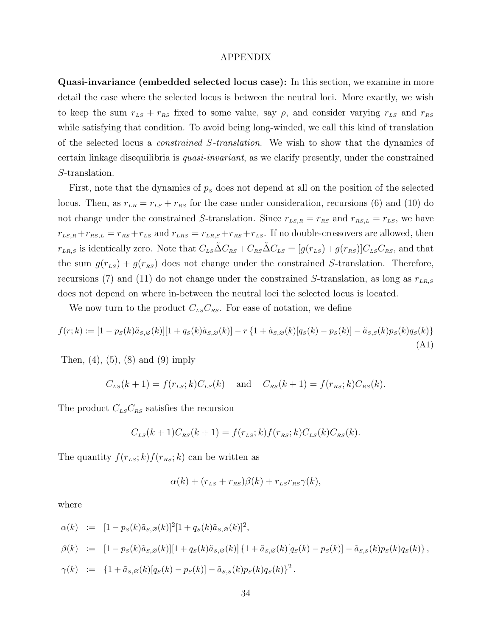## APPENDIX

Quasi-invariance (embedded selected locus case): In this section, we examine in more detail the case where the selected locus is between the neutral loci. More exactly, we wish to keep the sum  $r_{LS} + r_{RS}$  fixed to some value, say  $\rho$ , and consider varying  $r_{LS}$  and  $r_{RS}$ while satisfying that condition. To avoid being long-winded, we call this kind of translation of the selected locus a *constrained S-translation*. We wish to show that the dynamics of certain linkage disequilibria is quasi-invariant, as we clarify presently, under the constrained S-translation.

First, note that the dynamics of  $p<sub>s</sub>$  does not depend at all on the position of the selected locus. Then, as  $r_{LR} = r_{LS} + r_{RS}$  for the case under consideration, recursions (6) and (10) do not change under the constrained S-translation. Since  $r_{LS,R} = r_{RS}$  and  $r_{RS,L} = r_{LS}$ , we have  $r_{LS,R} + r_{RS,L} = r_{RS} + r_{LS}$  and  $r_{LRS} = r_{LR,S} + r_{RS} + r_{LS}$ . If no double-crossovers are allowed, then  $r_{LR,S}$  is identically zero. Note that  $C_{LS}\tilde{\Delta}C_{RS}+C_{RS}\tilde{\Delta}C_{LS}=[g(r_{LS})+g(r_{RS})]C_{LS}C_{RS}$ , and that the sum  $g(r_{LS}) + g(r_{RS})$  does not change under the constrained S-translation. Therefore, recursions (7) and (11) do not change under the constrained S-translation, as long as  $r_{LR,S}$ does not depend on where in-between the neutral loci the selected locus is located.

We now turn to the product  $C_{LS}C_{RS}$ . For ease of notation, we define

$$
f(r;k) := [1 - p_S(k)\tilde{a}_{S,S}(k)][1 + q_S(k)\tilde{a}_{S,S}(k)] - r\{1 + \tilde{a}_{S,S}(k)[q_S(k) - p_S(k)] - \tilde{a}_{S,S}(k)p_S(k)q_S(k)\}\
$$
\n(A1)

Then,  $(4)$ ,  $(5)$ ,  $(8)$  and  $(9)$  imply

$$
C_{LS}(k+1) = f(r_{LS}; k)C_{LS}(k)
$$
 and  $C_{RS}(k+1) = f(r_{RS}; k)C_{RS}(k)$ .

The product  $C_{LS}C_{RS}$  satisfies the recursion

$$
C_{LS}(k+1)C_{RS}(k+1) = f(r_{LS}; k) f(r_{RS}; k) C_{LS}(k) C_{RS}(k).
$$

The quantity  $f(r_{LS}; k) f(r_{RS}; k)$  can be written as

$$
\alpha(k) + (r_{LS} + r_{RS})\beta(k) + r_{LS}r_{RS}\gamma(k),
$$

where

$$
\alpha(k) := [1 - p_S(k)\tilde{a}_{S,\varnothing}(k)]^2 [1 + q_S(k)\tilde{a}_{S,\varnothing}(k)]^2,
$$
  
\n
$$
\beta(k) := [1 - p_S(k)\tilde{a}_{S,\varnothing}(k)][1 + q_S(k)\tilde{a}_{S,\varnothing}(k)] \{1 + \tilde{a}_{S,\varnothing}(k)[q_S(k) - p_S(k)] - \tilde{a}_{S,S}(k)p_S(k)q_S(k)\},
$$
  
\n
$$
\gamma(k) := \{1 + \tilde{a}_{S,\varnothing}(k)[q_S(k) - p_S(k)] - \tilde{a}_{S,S}(k)p_S(k)q_S(k)\}^2.
$$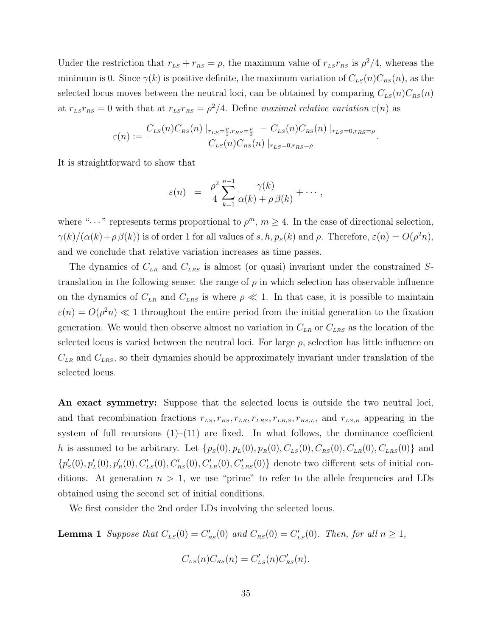Under the restriction that  $r_{LS} + r_{RS} = \rho$ , the maximum value of  $r_{LS}r_{RS}$  is  $\rho^2/4$ , whereas the minimum is 0. Since  $\gamma(k)$  is positive definite, the maximum variation of  $C_{LS}(n)C_{RS}(n)$ , as the selected locus moves between the neutral loci, can be obtained by comparing  $C_{LS}(n)C_{RS}(n)$ at  $r_{LS}r_{RS} = 0$  with that at  $r_{LS}r_{RS} = \rho^2/4$ . Define maximal relative variation  $\varepsilon(n)$  as

$$
\varepsilon(n) := \frac{C_{LS}(n)C_{RS}(n) \big|_{r_{LS}=\frac{\rho}{2},r_{RS}=\frac{\rho}{2}} - C_{LS}(n)C_{RS}(n) \big|_{r_{LS}=0,r_{RS}=\rho}}{C_{LS}(n)C_{RS}(n) \big|_{r_{LS}=0,r_{RS}=\rho}}.
$$

It is straightforward to show that

$$
\varepsilon(n) = \frac{\rho^2}{4} \sum_{k=1}^{n-1} \frac{\gamma(k)}{\alpha(k) + \rho \beta(k)} + \cdots,
$$

where " $\cdots$ " represents terms proportional to  $\rho^m$ ,  $m \geq 4$ . In the case of directional selection,  $\gamma(k)/(\alpha(k)+\rho\beta(k))$  is of order 1 for all values of s, h,  $p_s(k)$  and  $\rho$ . Therefore,  $\varepsilon(n) = O(\rho^2 n)$ , and we conclude that relative variation increases as time passes.

The dynamics of  $C_{LR}$  and  $C_{LRS}$  is almost (or quasi) invariant under the constrained Stranslation in the following sense: the range of  $\rho$  in which selection has observable influence on the dynamics of  $C_{LR}$  and  $C_{LRS}$  is where  $\rho \ll 1$ . In that case, it is possible to maintain  $\varepsilon(n) = O(\rho^2 n) \ll 1$  throughout the entire period from the initial generation to the fixation generation. We would then observe almost no variation in  $C_{LR}$  or  $C_{LRS}$  as the location of the selected locus is varied between the neutral loci. For large  $\rho$ , selection has little influence on  $C_{LR}$  and  $C_{LRS}$ , so their dynamics should be approximately invariant under translation of the selected locus.

An exact symmetry: Suppose that the selected locus is outside the two neutral loci, and that recombination fractions  $r_{LS}$ ,  $r_{RS}$ ,  $r_{LR}$ ,  $r_{LRS}$ ,  $r_{LRS}$ ,  $r_{RS,L}$ , and  $r_{LS,R}$  appearing in the system of full recursions  $(1)$ – $(11)$  are fixed. In what follows, the dominance coefficient h is assumed to be arbitrary. Let  $\{p_S(0), p_L(0), p_R(0), C_{LS}(0), C_{RS}(0), C_{LR}(0), C_{LRS}(0)\}\)$  and  ${p'_{s}(0), p'_{L}(0), p'_{R}(0), C'_{Ls}(0), C'_{Rs}(0), C'_{LR}(0), C'_{LRS}(0)}$  denote two different sets of initial conditions. At generation  $n > 1$ , we use "prime" to refer to the allele frequencies and LDs obtained using the second set of initial conditions.

We first consider the 2nd order LDs involving the selected locus.

**Lemma 1** Suppose that  $C_{LS}(0) = C'_{RS}(0)$  and  $C_{RS}(0) = C'_{LS}(0)$ . Then, for all  $n \ge 1$ ,

$$
C_{LS}(n)C_{RS}(n) = C'_{LS}(n)C'_{RS}(n).
$$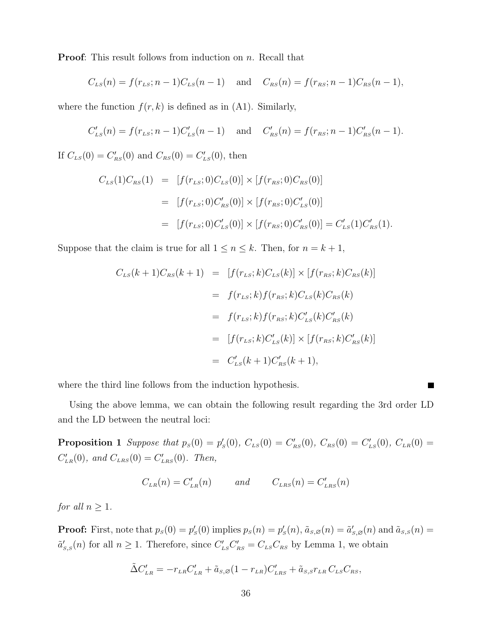**Proof:** This result follows from induction on *n*. Recall that

$$
C_{LS}(n) = f(r_{LS}; n-1)C_{LS}(n-1)
$$
 and  $C_{RS}(n) = f(r_{RS}; n-1)C_{RS}(n-1)$ ,

where the function  $f(r, k)$  is defined as in (A1). Similarly,

$$
C'_{LS}(n) = f(r_{LS}; n-1)C'_{LS}(n-1)
$$
 and  $C'_{RS}(n) = f(r_{RS}; n-1)C'_{RS}(n-1)$ .

If  $C_{LS}(0) = C'_{RS}(0)$  and  $C_{RS}(0) = C'_{LS}(0)$ , then

$$
C_{LS}(1)C_{RS}(1) = [f(r_{LS}; 0)C_{LS}(0)] \times [f(r_{RS}; 0)C_{RS}(0)]
$$
  
= 
$$
[f(r_{LS}; 0)C'_{RS}(0)] \times [f(r_{RS}; 0)C'_{LS}(0)]
$$
  
= 
$$
[f(r_{LS}; 0)C'_{LS}(0)] \times [f(r_{RS}; 0)C'_{RS}(0)] = C'_{LS}(1)C'_{RS}(1).
$$

Suppose that the claim is true for all  $1 \le n \le k$ . Then, for  $n = k + 1$ ,

$$
C_{LS}(k+1)C_{RS}(k+1) = [f(r_{LS};k)C_{LS}(k)] \times [f(r_{RS};k)C_{RS}(k)]
$$
  
=  $f(r_{LS};k)f(r_{RS};k)C_{LS}(k)C_{RS}(k)$   
=  $f(r_{LS};k)f(r_{RS};k)C'_{LS}(k)C'_{RS}(k)$   
=  $[f(r_{LS};k)C'_{LS}(k)] \times [f(r_{RS};k)C'_{RS}(k)]$   
=  $C'_{LS}(k+1)C'_{RS}(k+1),$ 

where the third line follows from the induction hypothesis.

Using the above lemma, we can obtain the following result regarding the 3rd order LD and the LD between the neutral loci:

ш

**Proposition 1** Suppose that  $p_s(0) = p'_s(0)$ ,  $C_{LS}(0) = C'_{RS}(0)$ ,  $C_{RS}(0) = C'_{LS}(0)$ ,  $C_{LR}(0) = C'_{LS}(0)$  $C'_{LR}(0)$ , and  $C_{LRS}(0) = C'_{LRS}(0)$ . Then,

$$
C_{LR}(n) = C'_{LR}(n) \qquad \text{and} \qquad C_{LRS}(n) = C'_{LRS}(n)
$$

for all  $n \geq 1$ .

**Proof:** First, note that  $p_s(0) = p'_s(0)$  implies  $p_s(n) = p'_s(n)$ ,  $\tilde{a}_{s,\varnothing}(n) = \tilde{a}'_{s,\varnothing}(n)$  and  $\tilde{a}_{s,s}(n) =$  $\tilde{a}'_{s,s}(n)$  for all  $n \geq 1$ . Therefore, since  $C'_{LS}C'_{RS} = C_{LS}C_{RS}$  by Lemma 1, we obtain

$$
\tilde{\Delta}C'_{LR} = -r_{LR}C'_{LR} + \tilde{a}_{S,\varnothing}(1-r_{LR})C'_{LRS} + \tilde{a}_{S,S}r_{LR}C_{LS}C_{RS},
$$